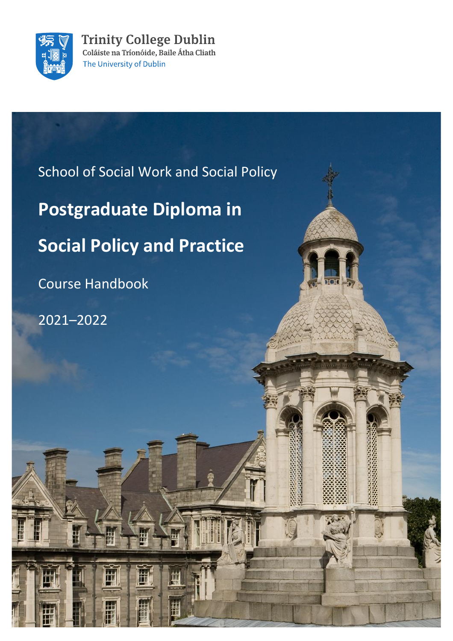

**Trinity College Dublin** Coláiste na Tríonóide, Baile Átha Cliath The University of Dublin

School of Social Work and Social Policy **Postgraduate Diploma in Social Policy and Practice** Course Handbook 2021–2022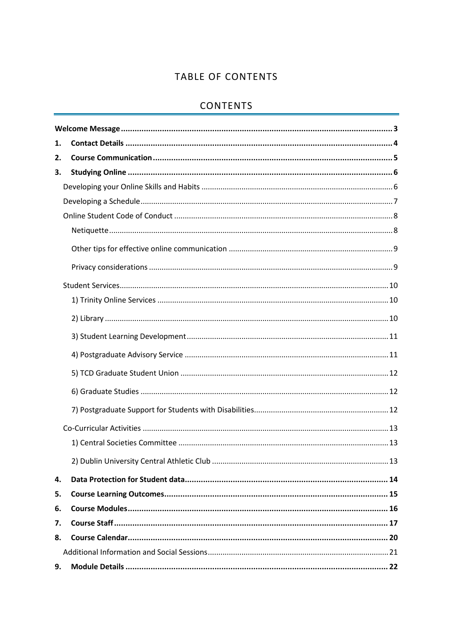# TABLE OF CONTENTS

# **CONTENTS**

| 1. |  |  |  |
|----|--|--|--|
| 2. |  |  |  |
| 3. |  |  |  |
|    |  |  |  |
|    |  |  |  |
|    |  |  |  |
|    |  |  |  |
|    |  |  |  |
|    |  |  |  |
|    |  |  |  |
|    |  |  |  |
|    |  |  |  |
|    |  |  |  |
|    |  |  |  |
|    |  |  |  |
|    |  |  |  |
|    |  |  |  |
|    |  |  |  |
|    |  |  |  |
|    |  |  |  |
| 4. |  |  |  |
| 5. |  |  |  |
| 6. |  |  |  |
| 7. |  |  |  |
| 8. |  |  |  |
|    |  |  |  |
| 9. |  |  |  |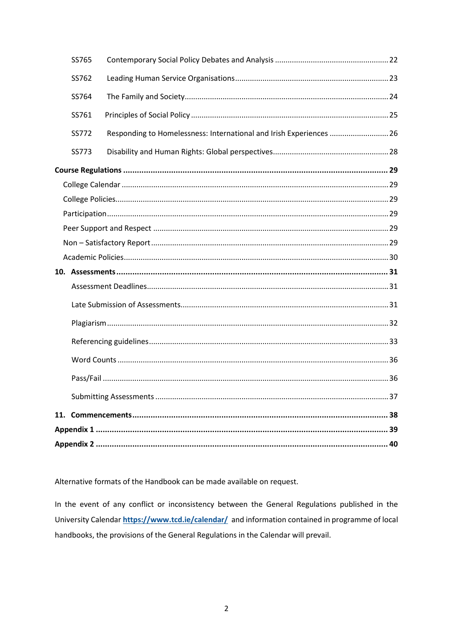|  | SS765 |                                                                     |  |  |
|--|-------|---------------------------------------------------------------------|--|--|
|  | SS762 |                                                                     |  |  |
|  | SS764 |                                                                     |  |  |
|  | SS761 |                                                                     |  |  |
|  | SS772 | Responding to Homelessness: International and Irish Experiences  26 |  |  |
|  | SS773 |                                                                     |  |  |
|  |       |                                                                     |  |  |
|  |       |                                                                     |  |  |
|  |       |                                                                     |  |  |
|  |       |                                                                     |  |  |
|  |       |                                                                     |  |  |
|  |       |                                                                     |  |  |
|  |       |                                                                     |  |  |
|  |       |                                                                     |  |  |
|  |       |                                                                     |  |  |
|  |       |                                                                     |  |  |
|  |       |                                                                     |  |  |
|  |       |                                                                     |  |  |
|  |       |                                                                     |  |  |
|  |       |                                                                     |  |  |
|  |       |                                                                     |  |  |
|  |       |                                                                     |  |  |
|  |       |                                                                     |  |  |
|  |       |                                                                     |  |  |

Alternative formats of the Handbook can be made available on request.

In the event of any conflict or inconsistency between the General Regulations published in the University Calendar https://www.tcd.ie/calendar/ and information contained in programme of local handbooks, the provisions of the General Regulations in the Calendar will prevail.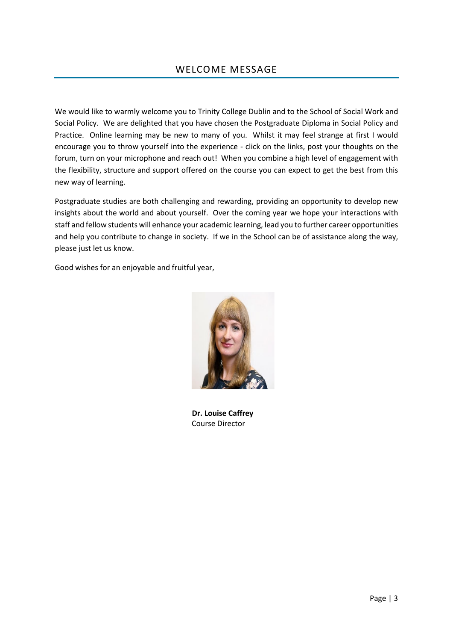<span id="page-3-0"></span>We would like to warmly welcome you to Trinity College Dublin and to the School of Social Work and Social Policy. We are delighted that you have chosen the Postgraduate Diploma in Social Policy and Practice. Online learning may be new to many of you. Whilst it may feel strange at first I would encourage you to throw yourself into the experience - click on the links, post your thoughts on the forum, turn on your microphone and reach out! When you combine a high level of engagement with the flexibility, structure and support offered on the course you can expect to get the best from this new way of learning.

Postgraduate studies are both challenging and rewarding, providing an opportunity to develop new insights about the world and about yourself. Over the coming year we hope your interactions with staff and fellow students will enhance your academic learning, lead you to further career opportunities and help you contribute to change in society. If we in the School can be of assistance along the way, please just let us know.

Good wishes for an enjoyable and fruitful year,



 **Dr. Louise Caffrey** Course Director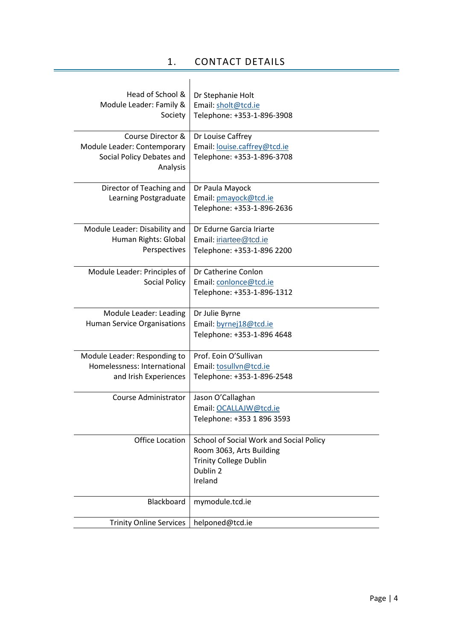# 1. CONTACT DETAILS

<span id="page-4-0"></span>

| Head of School &<br>Module Leader: Family &<br>Society                                    | Dr Stephanie Holt<br>Email: sholt@tcd.ie<br>Telephone: +353-1-896-3908                                                      |
|-------------------------------------------------------------------------------------------|-----------------------------------------------------------------------------------------------------------------------------|
| Course Director &<br>Module Leader: Contemporary<br>Social Policy Debates and<br>Analysis | Dr Louise Caffrey<br>Email: louise.caffrey@tcd.ie<br>Telephone: +353-1-896-3708                                             |
| Director of Teaching and<br>Learning Postgraduate                                         | Dr Paula Mayock<br>Email: pmayock@tcd.ie<br>Telephone: +353-1-896-2636                                                      |
| Module Leader: Disability and<br>Human Rights: Global<br>Perspectives                     | Dr Edurne Garcia Iriarte<br>Email: iriartee@tcd.ie<br>Telephone: +353-1-896 2200                                            |
| Module Leader: Principles of<br><b>Social Policy</b>                                      | Dr Catherine Conlon<br>Email: conlonce@tcd.ie<br>Telephone: +353-1-896-1312                                                 |
| Module Leader: Leading<br>Human Service Organisations                                     | Dr Julie Byrne<br>Email: byrnej18@tcd.ie<br>Telephone: +353-1-896 4648                                                      |
| Module Leader: Responding to<br>Homelessness: International<br>and Irish Experiences      | Prof. Eoin O'Sullivan<br>Email: tosullvn@tcd.ie<br>Telephone: +353-1-896-2548                                               |
| Course Administrator                                                                      | Jason O'Callaghan<br>Email: OCALLAJW@tcd.ie<br>Telephone: +353 1 896 3593                                                   |
| <b>Office Location</b>                                                                    | School of Social Work and Social Policy<br>Room 3063, Arts Building<br><b>Trinity College Dublin</b><br>Dublin 2<br>Ireland |
| Blackboard                                                                                | mymodule.tcd.ie                                                                                                             |
| <b>Trinity Online Services</b>                                                            | helponed@tcd.ie                                                                                                             |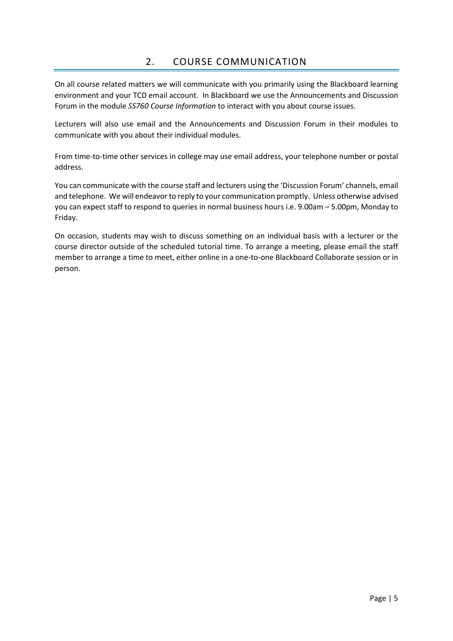<span id="page-5-0"></span>On all course related matters we will communicate with you primarily using the Blackboard learning environment and your TCD email account. In Blackboard we use the Announcements and Discussion Forum in the module *SS760 Course Information* to interact with you about course issues.

Lecturers will also use email and the Announcements and Discussion Forum in their modules to communicate with you about their individual modules.

From time-to-time other services in college may use email address, your telephone number or postal address.

You can communicate with the course staff and lecturers using the 'Discussion Forum' channels, email and telephone. We will endeavor to reply to your communication promptly. Unless otherwise advised you can expect staff to respond to queries in normal business hours i.e. 9.00am – 5.00pm, Monday to Friday.

On occasion, students may wish to discuss something on an individual basis with a lecturer or the course director outside of the scheduled tutorial time. To arrange a meeting, please email the staff member to arrange a time to meet, either online in a one-to-one Blackboard Collaborate session or in person.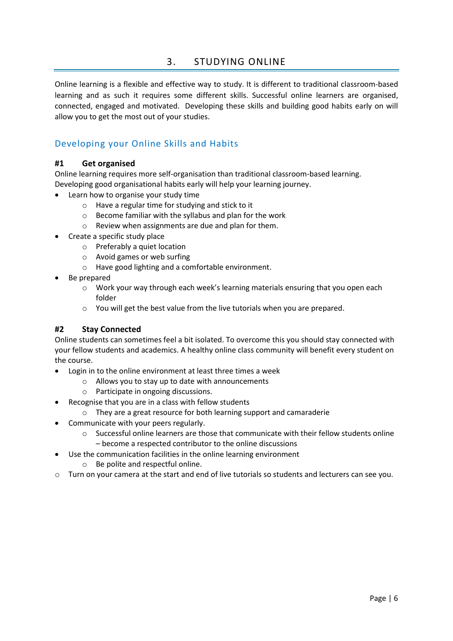# 3. STUDYING ONLINE

<span id="page-6-0"></span>Online learning is a flexible and effective way to study. It is different to traditional classroom-based learning and as such it requires some different skills. Successful online learners are organised, connected, engaged and motivated. Developing these skills and building good habits early on will allow you to get the most out of your studies.

# <span id="page-6-1"></span>Developing your Online Skills and Habits

## **#1 Get organised**

Online learning requires more self-organisation than traditional classroom-based learning. Developing good organisational habits early will help your learning journey.

- Learn how to organise your study time
	- o Have a regular time for studying and stick to it
	- $\circ$  Become familiar with the syllabus and plan for the work
	- o Review when assignments are due and plan for them.
- Create a specific study place
	- o Preferably a quiet location
	- o Avoid games or web surfing
	- o Have good lighting and a comfortable environment.
- Be prepared
	- $\circ$  Work your way through each week's learning materials ensuring that you open each folder
	- o You will get the best value from the live tutorials when you are prepared.

## **#2 Stay Connected**

Online students can sometimes feel a bit isolated. To overcome this you should stay connected with your fellow students and academics. A healthy online class community will benefit every student on the course.

- Login in to the online environment at least three times a week
	- o Allows you to stay up to date with announcements
	- o Participate in ongoing discussions.
- Recognise that you are in a class with fellow students
	- o They are a great resource for both learning support and camaraderie
	- Communicate with your peers regularly.
		- Successful online learners are those that communicate with their fellow students online – become a respected contributor to the online discussions
	- Use the communication facilities in the online learning environment
		- o Be polite and respectful online.
- o Turn on your camera at the start and end of live tutorials so students and lecturers can see you.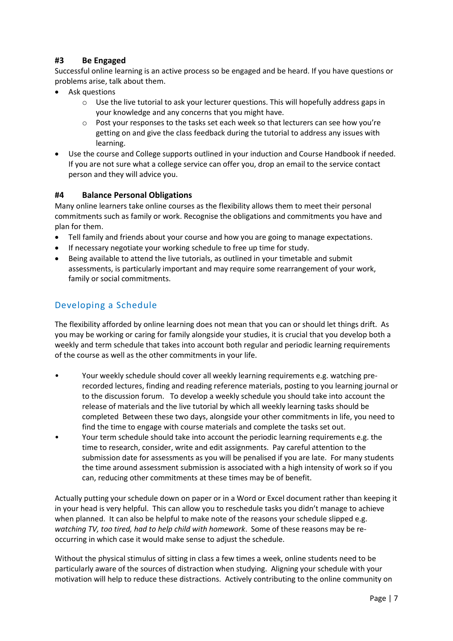## **#3 Be Engaged**

Successful online learning is an active process so be engaged and be heard. If you have questions or problems arise, talk about them.

- Ask questions
	- o Use the live tutorial to ask your lecturer questions. This will hopefully address gaps in your knowledge and any concerns that you might have.
	- $\circ$  Post your responses to the tasks set each week so that lecturers can see how you're getting on and give the class feedback during the tutorial to address any issues with learning.
- Use the course and College supports outlined in your induction and Course Handbook if needed. If you are not sure what a college service can offer you, drop an email to the service contact person and they will advice you.

## **#4 Balance Personal Obligations**

Many online learners take online courses as the flexibility allows them to meet their personal commitments such as family or work. Recognise the obligations and commitments you have and plan for them.

- Tell family and friends about your course and how you are going to manage expectations.
- If necessary negotiate your working schedule to free up time for study.
- Being available to attend the live tutorials, as outlined in your timetable and submit assessments, is particularly important and may require some rearrangement of your work, family or social commitments.

## <span id="page-7-0"></span>Developing a Schedule

The flexibility afforded by online learning does not mean that you can or should let things drift. As you may be working or caring for family alongside your studies, it is crucial that you develop both a weekly and term schedule that takes into account both regular and periodic learning requirements of the course as well as the other commitments in your life.

- Your weekly schedule should cover all weekly learning requirements e.g. watching prerecorded lectures, finding and reading reference materials, posting to you learning journal or to the discussion forum. To develop a weekly schedule you should take into account the release of materials and the live tutorial by which all weekly learning tasks should be completed Between these two days, alongside your other commitments in life, you need to find the time to engage with course materials and complete the tasks set out.
- Your term schedule should take into account the periodic learning requirements e.g. the time to research, consider, write and edit assignments. Pay careful attention to the submission date for assessments as you will be penalised if you are late. For many students the time around assessment submission is associated with a high intensity of work so if you can, reducing other commitments at these times may be of benefit.

Actually putting your schedule down on paper or in a Word or Excel document rather than keeping it in your head is very helpful. This can allow you to reschedule tasks you didn't manage to achieve when planned. It can also be helpful to make note of the reasons your schedule slipped e.g. *watching TV, too tired, had to help child with homework*. Some of these reasons may be reoccurring in which case it would make sense to adjust the schedule.

Without the physical stimulus of sitting in class a few times a week, online students need to be particularly aware of the sources of distraction when studying. Aligning your schedule with your motivation will help to reduce these distractions. Actively contributing to the online community on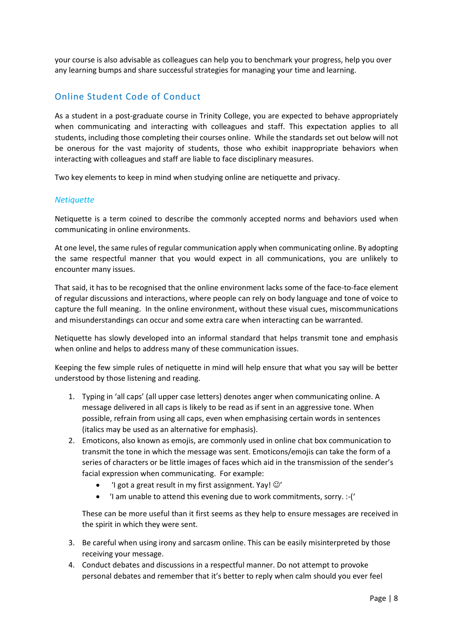your course is also advisable as colleagues can help you to benchmark your progress, help you over any learning bumps and share successful strategies for managing your time and learning.

# <span id="page-8-0"></span>Online Student Code of Conduct

As a student in a post-graduate course in Trinity College, you are expected to behave appropriately when communicating and interacting with colleagues and staff. This expectation applies to all students, including those completing their courses online. While the standards set out below will not be onerous for the vast majority of students, those who exhibit inappropriate behaviors when interacting with colleagues and staff are liable to face disciplinary measures.

Two key elements to keep in mind when studying online are netiquette and privacy.

#### <span id="page-8-1"></span>*Netiquette*

Netiquette is a term coined to describe the commonly accepted norms and behaviors used when communicating in online environments.

At one level, the same rules of regular communication apply when communicating online. By adopting the same respectful manner that you would expect in all communications, you are unlikely to encounter many issues.

That said, it has to be recognised that the online environment lacks some of the face-to-face element of regular discussions and interactions, where people can rely on body language and tone of voice to capture the full meaning. In the online environment, without these visual cues, miscommunications and misunderstandings can occur and some extra care when interacting can be warranted.

Netiquette has slowly developed into an informal standard that helps transmit tone and emphasis when online and helps to address many of these communication issues.

Keeping the few simple rules of netiquette in mind will help ensure that what you say will be better understood by those listening and reading.

- 1. Typing in 'all caps' (all upper case letters) denotes anger when communicating online. A message delivered in all caps is likely to be read as if sent in an aggressive tone. When possible, refrain from using all caps, even when emphasising certain words in sentences (italics may be used as an alternative for emphasis).
- 2. Emoticons, also known as emojis, are commonly used in online chat box communication to transmit the tone in which the message was sent. Emoticons/emojis can take the form of a series of characters or be little images of faces which aid in the transmission of the sender's facial expression when communicating. For example:
	- 'I got a great result in my first assignment. Yay!  $\odot'$
	- 'I am unable to attend this evening due to work commitments, sorry. :-('

These can be more useful than it first seems as they help to ensure messages are received in the spirit in which they were sent.

- 3. Be careful when using irony and sarcasm online. This can be easily misinterpreted by those receiving your message.
- 4. Conduct debates and discussions in a respectful manner. Do not attempt to provoke personal debates and remember that it's better to reply when calm should you ever feel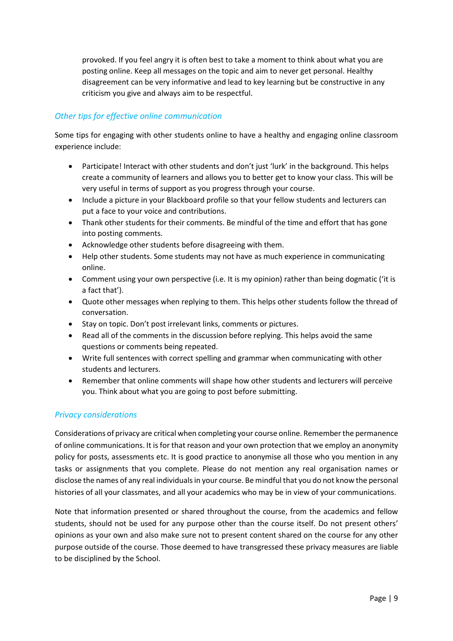provoked. If you feel angry it is often best to take a moment to think about what you are posting online. Keep all messages on the topic and aim to never get personal. Healthy disagreement can be very informative and lead to key learning but be constructive in any criticism you give and always aim to be respectful.

## <span id="page-9-0"></span>*Other tips for effective online communication*

Some tips for engaging with other students online to have a healthy and engaging online classroom experience include:

- Participate! Interact with other students and don't just 'lurk' in the background. This helps create a community of learners and allows you to better get to know your class. This will be very useful in terms of support as you progress through your course.
- Include a picture in your Blackboard profile so that your fellow students and lecturers can put a face to your voice and contributions.
- Thank other students for their comments. Be mindful of the time and effort that has gone into posting comments.
- Acknowledge other students before disagreeing with them.
- Help other students. Some students may not have as much experience in communicating online.
- Comment using your own perspective (i.e. It is my opinion) rather than being dogmatic ('it is a fact that').
- Quote other messages when replying to them. This helps other students follow the thread of conversation.
- Stay on topic. Don't post irrelevant links, comments or pictures.
- Read all of the comments in the discussion before replying. This helps avoid the same questions or comments being repeated.
- Write full sentences with correct spelling and grammar when communicating with other students and lecturers.
- Remember that online comments will shape how other students and lecturers will perceive you. Think about what you are going to post before submitting.

## <span id="page-9-1"></span>*Privacy considerations*

Considerations of privacy are critical when completing your course online. Remember the permanence of online communications. It is for that reason and your own protection that we employ an anonymity policy for posts, assessments etc. It is good practice to anonymise all those who you mention in any tasks or assignments that you complete. Please do not mention any real organisation names or disclose the names of any real individuals in your course. Be mindful that you do not know the personal histories of all your classmates, and all your academics who may be in view of your communications.

Note that information presented or shared throughout the course, from the academics and fellow students, should not be used for any purpose other than the course itself. Do not present others' opinions as your own and also make sure not to present content shared on the course for any other purpose outside of the course. Those deemed to have transgressed these privacy measures are liable to be disciplined by the School.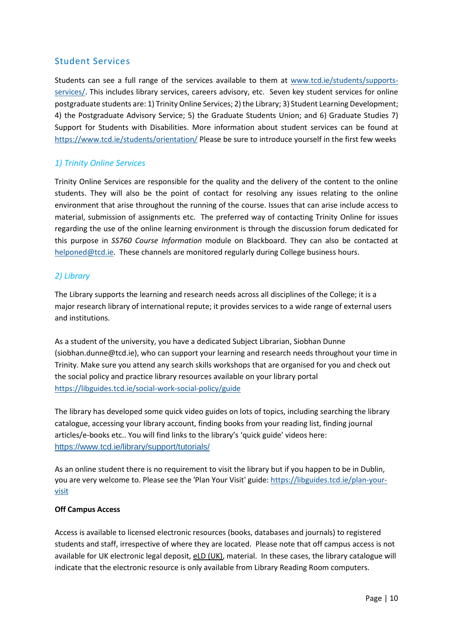## <span id="page-10-0"></span>Student Services

Students can see a full range of the services available to them at [www.tcd.ie/students/supports](http://www.tcd.ie/students/supports-services/)[services/.](http://www.tcd.ie/students/supports-services/) This includes library services, careers advisory, etc. Seven key student services for online postgraduate students are: 1) Trinity Online Services; 2) the Library; 3) Student Learning Development; 4) the Postgraduate Advisory Service; 5) the Graduate Students Union; and 6) Graduate Studies 7) Support for Students with Disabilities. More information about student services can be found at <https://www.tcd.ie/students/orientation/> Please be sure to introduce yourself in the first few weeks

## <span id="page-10-1"></span>*1) Trinity Online Services*

Trinity Online Services are responsible for the quality and the delivery of the content to the online students. They will also be the point of contact for resolving any issues relating to the online environment that arise throughout the running of the course. Issues that can arise include access to material, submission of assignments etc. The preferred way of contacting Trinity Online for issues regarding the use of the online learning environment is through the discussion forum dedicated for this purpose in *SS760 Course Information* module on Blackboard. They can also be contacted at [helponed@tcd.ie.](mailto:helponed@tcd.ie) These channels are monitored regularly during College business hours.

## <span id="page-10-2"></span>*2) Library*

The Library supports the learning and research needs across all disciplines of the College; it is a major research library of international repute; it provides services to a wide range of external users and institutions.

As a student of the university, you have a dedicated Subject Librarian, Siobhan Dunne (siobhan.dunne@tcd.ie), who can support your learning and research needs throughout your time in Trinity. Make sure you attend any search skills workshops that are organised for you and check out the social policy and practice library resources available on your library portal <https://libguides.tcd.ie/social-work-social-policy/guide>

The library has developed some quick video guides on lots of topics, including searching the library catalogue, accessing your library account, finding books from your reading list, finding journal articles/e-books etc.. You will find links to the library's 'quick guide' videos here: <https://www.tcd.ie/library/support/tutorials/>

As an online student there is no requirement to visit the library but if you happen to be in Dublin, you are very welcome to. Please see the 'Plan Your Visit' guide: [https://libguides.tcd.ie/plan-your](https://libguides.tcd.ie/plan-your-visit)[visit](https://libguides.tcd.ie/plan-your-visit)

#### **Off Campus Access**

Access is available to licensed electronic resources (books, databases and journals) to registered students and staff, irrespective of where they are located. Please note that off campus access is not available for UK electronic legal deposit, [eLD \(UK\),](http://www.tcd.ie/Library/using-library/eLD/) material. In these cases, the library catalogue will indicate that the electronic resource is only available from Library Reading Room computers.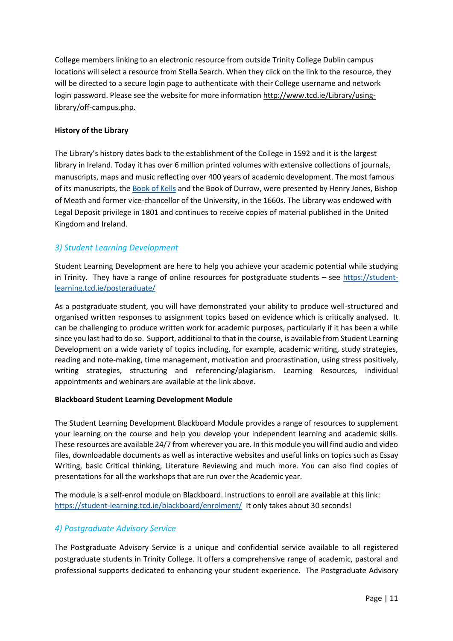College members linking to an electronic resource from outside Trinity College Dublin campus locations will select a resource from Stella Search. When they click on the link to the resource, they will be directed to a secure login page to authenticate with their College username and network login password. Please see the website for more information [http://www.tcd.ie/Library/using](http://www.tcd.ie/Library/using-library/off-campus.php)[library/off-campus.php.](http://www.tcd.ie/Library/using-library/off-campus.php)

#### **History of the Library**

The Library's history dates back to the establishment of the College in 1592 and it is the largest library in Ireland. Today it has over 6 million printed volumes with extensive collections of journals, manuscripts, maps and music reflecting over 400 years of academic development. The most famous of its manuscripts, the [Book of Kells](http://www.tcd.ie/Library/old-library/) and the Book of Durrow, were presented by Henry Jones, Bishop of Meath and former vice-chancellor of the University, in the 1660s. The Library was endowed with Legal Deposit privilege in 1801 and continues to receive copies of material published in the United Kingdom and Ireland.

## <span id="page-11-0"></span>*3) Student Learning Development*

Student Learning Development are here to help you achieve your academic potential while studying in Trinity. They have a range of online resources for postgraduate students – see [https://student](https://student-learning.tcd.ie/postgraduate/)[learning.tcd.ie/postgraduate/](https://student-learning.tcd.ie/postgraduate/)

As a postgraduate student, you will have demonstrated your ability to produce well-structured and organised written responses to assignment topics based on evidence which is critically analysed. It can be challenging to produce written work for academic purposes, particularly if it has been a while since you last had to do so. Support, additional to that in the course, is available from Student Learning Development on a wide variety of topics including, for example, academic writing, study strategies, reading and note-making, time management, motivation and procrastination, using stress positively, writing strategies, structuring and referencing/plagiarism. Learning Resources, individual appointments and webinars are available at the link above.

#### **Blackboard Student Learning Development Module**

The Student Learning Development Blackboard Module provides a range of resources to supplement your learning on the course and help you develop your independent learning and academic skills. These resources are available 24/7 from wherever you are. In this module you will find audio and video files, downloadable documents as well as interactive websites and useful links on topics such as Essay Writing, basic Critical thinking, Literature Reviewing and much more. You can also find copies of presentations for all the workshops that are run over the Academic year.

The module is a self-enrol module on Blackboard. Instructions to enroll are available at this link: <https://student-learning.tcd.ie/blackboard/enrolment/>It only takes about 30 seconds!

## <span id="page-11-1"></span>*4) Postgraduate Advisory Service*

The Postgraduate Advisory Service is a unique and confidential service available to all registered postgraduate students in Trinity College. It offers a comprehensive range of academic, pastoral and professional supports dedicated to enhancing your student experience. The Postgraduate Advisory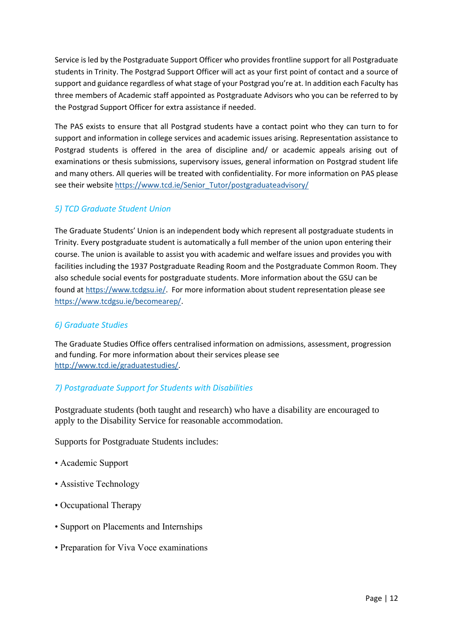Service is led by the Postgraduate Support Officer who provides frontline support for all Postgraduate students in Trinity. The Postgrad Support Officer will act as your first point of contact and a source of support and guidance regardless of what stage of your Postgrad you're at. In addition each Faculty has three members of Academic staff appointed as Postgraduate Advisors who you can be referred to by the Postgrad Support Officer for extra assistance if needed.

The PAS exists to ensure that all Postgrad students have a contact point who they can turn to for support and information in college services and academic issues arising. Representation assistance to Postgrad students is offered in the area of discipline and/ or academic appeals arising out of examinations or thesis submissions, supervisory issues, general information on Postgrad student life and many others. All queries will be treated with confidentiality. For more information on PAS please see their website [https://www.tcd.ie/Senior\\_Tutor/postgraduateadvisory/](https://www.tcd.ie/Senior_Tutor/postgraduateadvisory/)

## <span id="page-12-0"></span>*5) TCD Graduate Student Union*

The Graduate Students' Union is an independent body which represent all postgraduate students in Trinity. Every postgraduate student is automatically a full member of the union upon entering their course. The union is available to assist you with academic and welfare issues and provides you with facilities including the 1937 Postgraduate Reading Room and the Postgraduate Common Room. They also schedule social events for postgraduate students. More information about the GSU can be found a[t https://www.tcdgsu.ie/.](https://www.tcdgsu.ie/) For more information about student representation please see [https://www.tcdgsu.ie/becomearep/.](https://www.tcdgsu.ie/becomearep/)

## <span id="page-12-1"></span>*6) Graduate Studies*

The Graduate Studies Office offers centralised information on admissions, assessment, progression and funding. For more information about their services please see [http://www.tcd.ie/graduatestudies/.](http://www.tcd.ie/graduatestudies/)

## <span id="page-12-2"></span>*7) Postgraduate Support for Students with Disabilities*

Postgraduate students (both taught and research) who have a disability are encouraged to apply to the Disability Service for reasonable accommodation.

Supports for Postgraduate Students includes:

- Academic Support
- Assistive Technology
- Occupational Therapy
- Support on Placements and Internships
- Preparation for Viva Voce examinations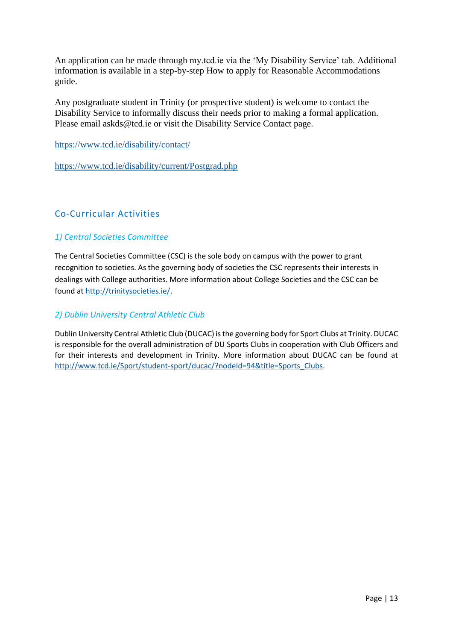An application can be made through my.tcd.ie via the 'My Disability Service' tab. Additional information is available in a step-by-step How to apply for Reasonable Accommodations guide.

Any postgraduate student in Trinity (or prospective student) is welcome to contact the Disability Service to informally discuss their needs prior to making a formal application. Please email askds@tcd.ie or visit the Disability Service Contact page.

<https://www.tcd.ie/disability/contact/>

<https://www.tcd.ie/disability/current/Postgrad.php>

# <span id="page-13-0"></span>Co-Curricular Activities

## <span id="page-13-1"></span>*1) Central Societies Committee*

The Central Societies Committee (CSC) is the sole body on campus with the power to grant recognition to societies. As the governing body of societies the CSC represents their interests in dealings with College authorities. More information about College Societies and the CSC can be found a[t http://trinitysocieties.ie/.](http://trinitysocieties.ie/)

## <span id="page-13-2"></span>*2) Dublin University Central Athletic Club*

Dublin University Central Athletic Club (DUCAC) is the governing body for Sport Clubs at Trinity. DUCAC is responsible for the overall administration of DU Sports Clubs in cooperation with Club Officers and for their interests and development in Trinity. More information about DUCAC can be found at [http://www.tcd.ie/Sport/student-sport/ducac/?nodeId=94&title=Sports\\_Clubs.](http://www.tcd.ie/Sport/student-sport/ducac/?nodeId=94&title=Sports_Clubs)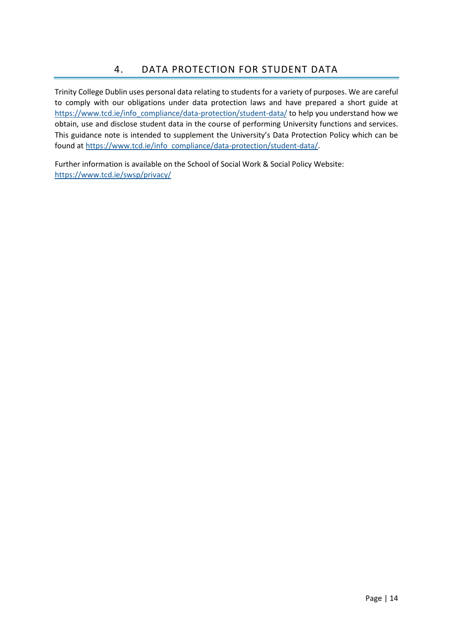<span id="page-14-0"></span>Trinity College Dublin uses personal data relating to students for a variety of purposes. We are careful to comply with our obligations under data protection laws and have prepared a short guide at [https://www.tcd.ie/info\\_compliance/data-protection/student-data/](https://www.tcd.ie/info_compliance/data-protection/student-data/) to help you understand how we obtain, use and disclose student data in the course of performing University functions and services. This guidance note is intended to supplement the University's Data Protection Policy which can be found a[t https://www.tcd.ie/info\\_compliance/data-protection/student-data/.](https://www.tcd.ie/info_compliance/data-protection/student-data/)

Further information is available on the School of Social Work & Social Policy Website: <https://www.tcd.ie/swsp/privacy/>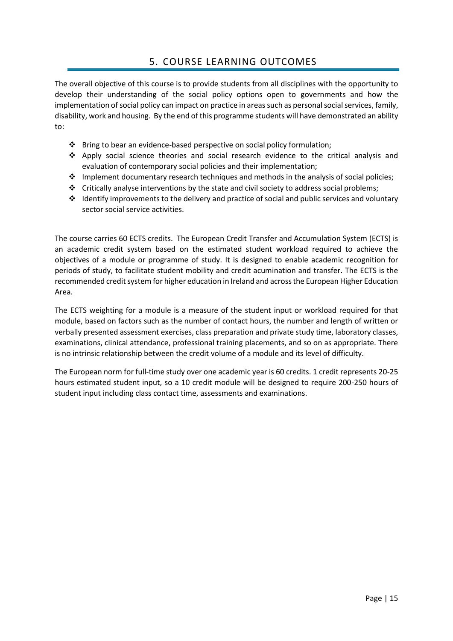# 5. COURSE LEARNING OUTCOMES

<span id="page-15-0"></span>The overall objective of this course is to provide students from all disciplines with the opportunity to develop their understanding of the social policy options open to governments and how the implementation of social policy can impact on practice in areas such as personal social services, family, disability, work and housing. By the end of this programme students will have demonstrated an ability to:

- ❖ Bring to bear an evidence-based perspective on social policy formulation;
- ❖ Apply social science theories and social research evidence to the critical analysis and evaluation of contemporary social policies and their implementation;
- $\cdot \cdot$  Implement documentary research techniques and methods in the analysis of social policies;
- ❖ Critically analyse interventions by the state and civil society to address social problems;
- ❖ Identify improvements to the delivery and practice of social and public services and voluntary sector social service activities.

The course carries 60 ECTS credits. The European Credit Transfer and Accumulation System (ECTS) is an academic credit system based on the estimated student workload required to achieve the objectives of a module or programme of study. It is designed to enable academic recognition for periods of study, to facilitate student mobility and credit acumination and transfer. The ECTS is the recommended credit system for higher education in Ireland and across the European Higher Education Area.

The ECTS weighting for a module is a measure of the student input or workload required for that module, based on factors such as the number of contact hours, the number and length of written or verbally presented assessment exercises, class preparation and private study time, laboratory classes, examinations, clinical attendance, professional training placements, and so on as appropriate. There is no intrinsic relationship between the credit volume of a module and its level of difficulty.

The European norm for full-time study over one academic year is 60 credits. 1 credit represents 20-25 hours estimated student input, so a 10 credit module will be designed to require 200-250 hours of student input including class contact time, assessments and examinations.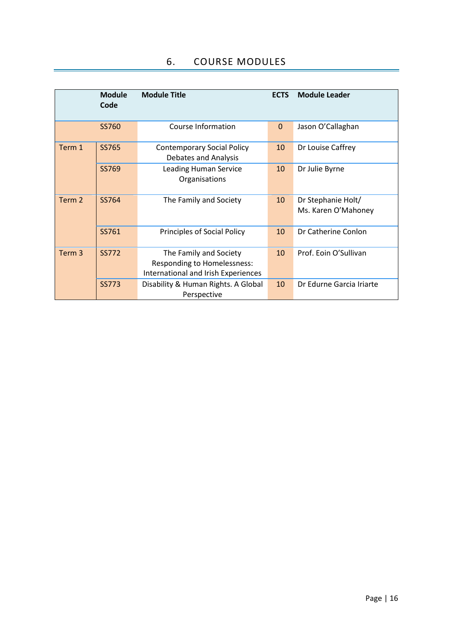<span id="page-16-0"></span>

|                                           | <b>Module</b><br>Code | <b>Module Title</b>                                                                                 | <b>ECTS</b>                               | <b>Module Leader</b>     |
|-------------------------------------------|-----------------------|-----------------------------------------------------------------------------------------------------|-------------------------------------------|--------------------------|
|                                           | SS760                 | Course Information                                                                                  | $\Omega$                                  | Jason O'Callaghan        |
| Term 1                                    | SS765                 | <b>Contemporary Social Policy</b><br><b>Debates and Analysis</b>                                    | 10                                        | Dr Louise Caffrey        |
|                                           | SS769                 | <b>Leading Human Service</b><br>Organisations                                                       | 10                                        | Dr Julie Byrne           |
| Term 2<br>SS764<br>The Family and Society |                       | 10                                                                                                  | Dr Stephanie Holt/<br>Ms. Karen O'Mahoney |                          |
|                                           | SS761                 | Principles of Social Policy                                                                         | 10                                        | Dr Catherine Conlon      |
| Term 3                                    | <b>SS772</b>          | The Family and Society<br><b>Responding to Homelessness:</b><br>International and Irish Experiences | 10                                        | Prof. Eoin O'Sullivan    |
|                                           | <b>SS773</b>          | Disability & Human Rights. A Global<br>Perspective                                                  | 10                                        | Dr Edurne Garcia Iriarte |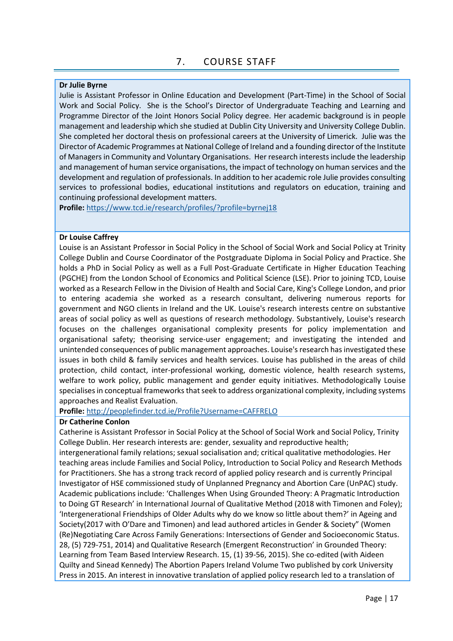#### <span id="page-17-0"></span>**Dr Julie Byrne**

Julie is Assistant Professor in Online Education and Development (Part-Time) in the School of Social Work and Social Policy. She is the School's Director of Undergraduate Teaching and Learning and Programme Director of the Joint Honors Social Policy degree. Her academic background is in people management and leadership which she studied at Dublin City University and University College Dublin. She completed her doctoral thesis on professional careers at the University of Limerick. Julie was the Director of Academic Programmes at National College of Ireland and a founding director of the Institute of Managers in Community and Voluntary Organisations. Her research interests include the leadership and management of human service organisations, the impact of technology on human services and the development and regulation of professionals. In addition to her academic role Julie provides consulting services to professional bodies, educational institutions and regulators on education, training and continuing professional development matters.

**Profile:** <https://www.tcd.ie/research/profiles/?profile=byrnej18>

#### **Dr Louise Caffrey**

Louise is an Assistant Professor in Social Policy in the School of Social Work and Social Policy at Trinity College Dublin and Course Coordinator of the Postgraduate Diploma in Social Policy and Practice. She holds a PhD in Social Policy as well as a Full Post-Graduate Certificate in Higher Education Teaching (PGCHE) from the London School of Economics and Political Science (LSE). Prior to joining TCD, Louise worked as a Research Fellow in the Division of Health and Social Care, King's College London, and prior to entering academia she worked as a research consultant, delivering numerous reports for government and NGO clients in Ireland and the UK. Louise's research interests centre on substantive areas of social policy as well as questions of research methodology. Substantively, Louise's research focuses on the challenges organisational complexity presents for policy implementation and organisational safety; theorising service-user engagement; and investigating the intended and unintended consequences of public management approaches. Louise's research has investigated these issues in both child & family services and health services. Louise has published in the areas of child protection, child contact, inter-professional working, domestic violence, health research systems, welfare to work policy, public management and gender equity initiatives. Methodologically Louise specialises in conceptual frameworks that seek to address organizational complexity, including systems approaches and Realist Evaluation.

**Profile:** <http://peoplefinder.tcd.ie/Profile?Username=CAFFRELO>

#### **Dr Catherine Conlon**

Catherine is Assistant Professor in Social Policy at the School of Social Work and Social Policy, Trinity College Dublin. Her research interests are: gender, sexuality and reproductive health; intergenerational family relations; sexual socialisation and; critical qualitative methodologies. Her teaching areas include Families and Social Policy, Introduction to Social Policy and Research Methods for Practitioners. She has a strong track record of applied policy research and is currently Principal Investigator of HSE commissioned study of Unplanned Pregnancy and Abortion Care (UnPAC) study. Academic publications include: 'Challenges When Using Grounded Theory: A Pragmatic Introduction to Doing GT Research' in International Journal of Qualitative Method (2018 with Timonen and Foley); 'Intergenerational Friendships of Older Adults why do we know so little about them?' in Ageing and Society(2017 with O'Dare and Timonen) and lead authored articles in Gender & Society" (Women (Re)Negotiating Care Across Family Generations: Intersections of Gender and Socioeconomic Status. 28, (5) 729-751, 2014) and Qualitative Research (Emergent Reconstruction' in Grounded Theory: Learning from Team Based Interview Research. 15, (1) 39-56, 2015). She co-edited (with Aideen Quilty and Sinead Kennedy) The Abortion Papers Ireland Volume Two published by cork University Press in 2015. An interest in innovative translation of applied policy research led to a translation of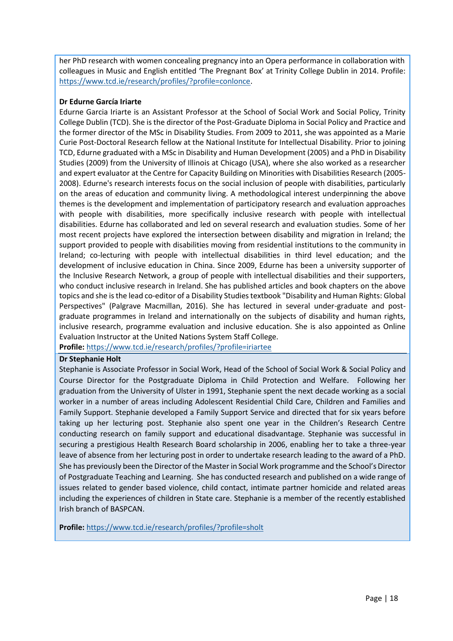her PhD research with women concealing pregnancy into an Opera performance in collaboration with colleagues in Music and English entitled 'The Pregnant Box' at Trinity College Dublin in 2014. Profile: [https://www.tcd.ie/research/profiles/?profile=conlonce.](https://www.tcd.ie/research/profiles/?profile=conlonce)

#### **Dr Edurne García Iriarte**

Edurne Garcia Iriarte is an Assistant Professor at the School of Social Work and Social Policy, Trinity College Dublin (TCD). She is the director of the Post-Graduate Diploma in Social Policy and Practice and the former director of the MSc in Disability Studies. From 2009 to 2011, she was appointed as a Marie Curie Post-Doctoral Research fellow at the National Institute for Intellectual Disability. Prior to joining TCD, Edurne graduated with a MSc in Disability and Human Development (2005) and a PhD in Disability Studies (2009) from the University of Illinois at Chicago (USA), where she also worked as a researcher and expert evaluator at the Centre for Capacity Building on Minorities with Disabilities Research (2005- 2008). Edurne's research interests focus on the social inclusion of people with disabilities, particularly on the areas of education and community living. A methodological interest underpinning the above themes is the development and implementation of participatory research and evaluation approaches with people with disabilities, more specifically inclusive research with people with intellectual disabilities. Edurne has collaborated and led on several research and evaluation studies. Some of her most recent projects have explored the intersection between disability and migration in Ireland; the support provided to people with disabilities moving from residential institutions to the community in Ireland; co-lecturing with people with intellectual disabilities in third level education; and the development of inclusive education in China. Since 2009, Edurne has been a university supporter of the Inclusive Research Network, a group of people with intellectual disabilities and their supporters, who conduct inclusive research in Ireland. She has published articles and book chapters on the above topics and she is the lead co-editor of a Disability Studies textbook "Disability and Human Rights: Global Perspectives" (Palgrave Macmillan, 2016). She has lectured in several under-graduate and postgraduate programmes in Ireland and internationally on the subjects of disability and human rights, inclusive research, programme evaluation and inclusive education. She is also appointed as Online Evaluation Instructor at the United Nations System Staff College.

**Profile:** <https://www.tcd.ie/research/profiles/?profile=iriartee>

#### **Dr Stephanie Holt**

Stephanie is Associate Professor in Social Work, Head of the School of Social Work & Social Policy and Course Director for the Postgraduate Diploma in Child Protection and Welfare. Following her graduation from the University of Ulster in 1991, Stephanie spent the next decade working as a social worker in a number of areas including Adolescent Residential Child Care, Children and Families and Family Support. Stephanie developed a Family Support Service and directed that for six years before taking up her lecturing post. Stephanie also spent one year in the Children's Research Centre conducting research on family support and educational disadvantage. Stephanie was successful in securing a prestigious Health Research Board scholarship in 2006, enabling her to take a three-year leave of absence from her lecturing post in order to undertake research leading to the award of a PhD. She has previously been the Director of the Master in Social Work programme and the School's Director of Postgraduate Teaching and Learning. She has conducted research and published on a wide range of issues related to gender based violence, child contact, intimate partner homicide and related areas including the experiences of children in State care. Stephanie is a member of the recently established Irish branch of BASPCAN.

**Profile:** <https://www.tcd.ie/research/profiles/?profile=sholt>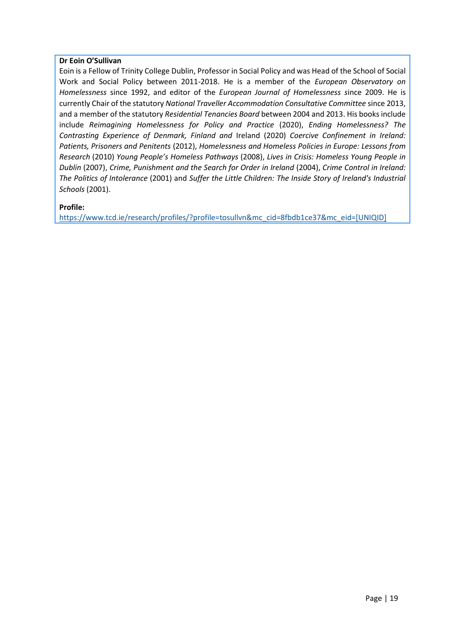## **Dr Eoin O'Sullivan**

Eoin is a Fellow of Trinity College Dublin, Professor in Social Policy and was Head of the School of Social Work and Social Policy between 2011-2018. He is a member of the *European Observatory on Homelessness* since 1992, and editor of the *European Journal of Homelessness s*ince 2009. He is currently Chair of the statutory *National Traveller Accommodation Consultative Committee* since 2013, and a member of the statutory *Residential Tenancies Board* between 2004 and 2013. His books include include *Reimagining Homelessness for Policy and Practice* (2020), *Ending Homelessness? The Contrasting Experience of Denmark, Finland and* Ireland (2020) *Coercive Confinement in Ireland: Patients, Prisoners and Penitents* (2012), *Homelessness and Homeless Policies in Europe: Lessons from Research* (2010) *Young People's Homeless Pathways* (2008), *Lives in Crisis: Homeless Young People in Dublin* (2007), *Crime, Punishment and the Search for Order in Ireland* (2004), *Crime Control in Ireland: The Politics of Intolerance* (2001) and *Suffer the Little Children: The Inside Story of Ireland's Industrial Schools* (2001).

#### **Profile:**

[https://www.tcd.ie/research/profiles/?profile=tosullvn&mc\\_cid=8fbdb1ce37&mc\\_eid=\[UNIQID\]](https://www.tcd.ie/research/profiles/?profile=tosullvn&mc_cid=8fbdb1ce37&mc_eid=%5bUNIQID%5d)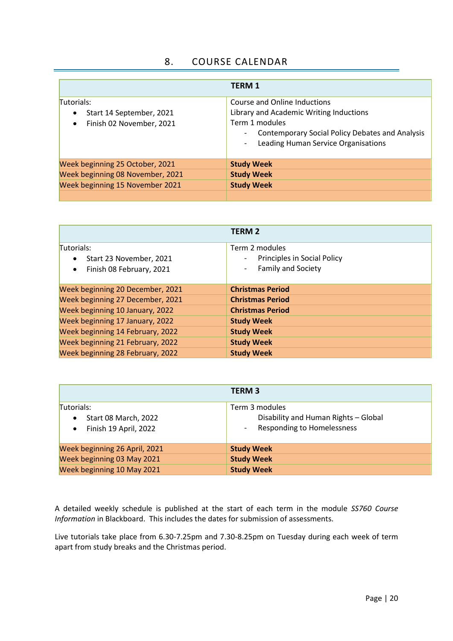# 8. COURSE CALENDAR

<span id="page-20-0"></span>

|                                                                                              | <b>TERM 1</b>                                                                                                                                                                                                                                          |
|----------------------------------------------------------------------------------------------|--------------------------------------------------------------------------------------------------------------------------------------------------------------------------------------------------------------------------------------------------------|
| Tutorials:<br>Start 14 September, 2021<br>$\bullet$<br>Finish 02 November, 2021<br>$\bullet$ | Course and Online Inductions<br>Library and Academic Writing Inductions<br>Term 1 modules<br><b>Contemporary Social Policy Debates and Analysis</b><br>$\overline{\phantom{a}}$<br>Leading Human Service Organisations<br>$\qquad \qquad \blacksquare$ |
| Week beginning 25 October, 2021                                                              | <b>Study Week</b>                                                                                                                                                                                                                                      |
| Week beginning 08 November, 2021                                                             | <b>Study Week</b>                                                                                                                                                                                                                                      |
| Week beginning 15 November 2021                                                              | <b>Study Week</b>                                                                                                                                                                                                                                      |
|                                                                                              |                                                                                                                                                                                                                                                        |

|                                                                                | <b>TERM 2</b>                                                                                          |
|--------------------------------------------------------------------------------|--------------------------------------------------------------------------------------------------------|
| Tutorials:<br>Start 23 November, 2021<br>Finish 08 February, 2021<br>$\bullet$ | Term 2 modules<br>Principles in Social Policy<br>$\overline{\phantom{a}}$<br><b>Family and Society</b> |
| Week beginning 20 December, 2021                                               | <b>Christmas Period</b>                                                                                |
| Week beginning 27 December, 2021                                               | <b>Christmas Period</b>                                                                                |
| Week beginning 10 January, 2022                                                | <b>Christmas Period</b>                                                                                |
| Week beginning 17 January, 2022                                                | <b>Study Week</b>                                                                                      |
| Week beginning 14 February, 2022                                               | <b>Study Week</b>                                                                                      |
| Week beginning 21 February, 2022                                               | <b>Study Week</b>                                                                                      |
| Week beginning 28 February, 2022                                               | <b>Study Week</b>                                                                                      |

|                                                                                              | <b>TERM 3</b>                                                                                                           |  |
|----------------------------------------------------------------------------------------------|-------------------------------------------------------------------------------------------------------------------------|--|
| Tutorials:<br><b>Start 08 March, 2022</b><br>$\bullet$<br>Finish 19 April, 2022<br>$\bullet$ | Term 3 modules<br>Disability and Human Rights - Global<br><b>Responding to Homelessness</b><br>$\overline{\phantom{a}}$ |  |
| Week beginning 26 April, 2021                                                                | <b>Study Week</b>                                                                                                       |  |
| Week beginning 03 May 2021                                                                   | <b>Study Week</b>                                                                                                       |  |
| Week beginning 10 May 2021                                                                   | <b>Study Week</b>                                                                                                       |  |

A detailed weekly schedule is published at the start of each term in the module *SS760 Course Information* in Blackboard. This includes the dates for submission of assessments.

Live tutorials take place from 6.30-7.25pm and 7.30-8.25pm on Tuesday during each week of term apart from study breaks and the Christmas period.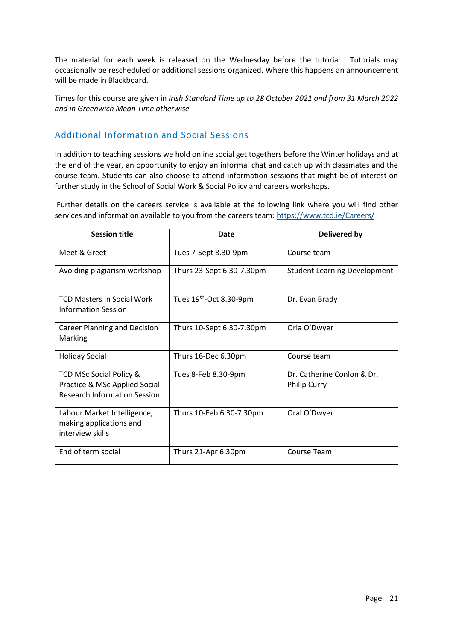The material for each week is released on the Wednesday before the tutorial. Tutorials may occasionally be rescheduled or additional sessions organized. Where this happens an announcement will be made in Blackboard.

Times for this course are given in *Irish Standard Time up to 28 October 2021 and from 31 March 2022 and in Greenwich Mean Time otherwise*

# <span id="page-21-0"></span>Additional Information and Social Sessions

In addition to teaching sessions we hold online social get togethers before the Winter holidays and at the end of the year, an opportunity to enjoy an informal chat and catch up with classmates and the course team. Students can also choose to attend information sessions that might be of interest on further study in the School of Social Work & Social Policy and careers workshops.

Further details on the careers service is available at the following link where you will find other services and information available to you from the careers team[: https://www.tcd.ie/Careers/](https://www.tcd.ie/Careers/)

| <b>Session title</b>                                                                            | <b>Date</b>               | <b>Delivered by</b>                               |
|-------------------------------------------------------------------------------------------------|---------------------------|---------------------------------------------------|
| Meet & Greet                                                                                    | Tues 7-Sept 8.30-9pm      | Course team                                       |
| Avoiding plagiarism workshop                                                                    | Thurs 23-Sept 6.30-7.30pm | <b>Student Learning Development</b>               |
| <b>TCD Masters in Social Work</b><br>Information Session                                        | Tues 19th-Oct 8.30-9pm    | Dr. Evan Brady                                    |
| <b>Career Planning and Decision</b><br>Marking                                                  | Thurs 10-Sept 6.30-7.30pm | Orla O'Dwyer                                      |
| <b>Holiday Social</b>                                                                           | Thurs 16-Dec 6.30pm       | Course team                                       |
| TCD MSc Social Policy &<br>Practice & MSc Applied Social<br><b>Research Information Session</b> | Tues 8-Feb 8.30-9pm       | Dr. Catherine Conlon & Dr.<br><b>Philip Curry</b> |
| Labour Market Intelligence,<br>making applications and<br>interview skills                      | Thurs 10-Feb 6.30-7.30pm  | Oral O'Dwyer                                      |
| End of term social                                                                              | Thurs 21-Apr 6.30pm       | Course Team                                       |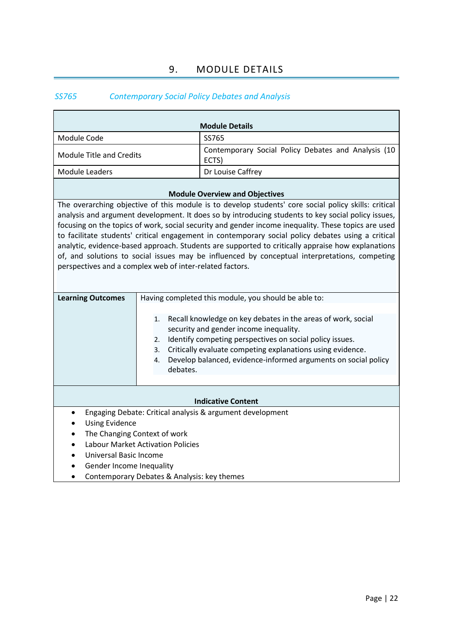# 9. MODULE DETAILS

# <span id="page-22-1"></span><span id="page-22-0"></span>*SS765 Contemporary Social Policy Debates and Analysis*

| <b>Module Details</b>                                                                                                                                                                                                                                                                                                                                                                                                                                                                                                                                                                                                                                                                     |                                  |                                                                                                                                                                                                                                                                                                    |
|-------------------------------------------------------------------------------------------------------------------------------------------------------------------------------------------------------------------------------------------------------------------------------------------------------------------------------------------------------------------------------------------------------------------------------------------------------------------------------------------------------------------------------------------------------------------------------------------------------------------------------------------------------------------------------------------|----------------------------------|----------------------------------------------------------------------------------------------------------------------------------------------------------------------------------------------------------------------------------------------------------------------------------------------------|
| Module Code                                                                                                                                                                                                                                                                                                                                                                                                                                                                                                                                                                                                                                                                               |                                  | SS765                                                                                                                                                                                                                                                                                              |
| <b>Module Title and Credits</b>                                                                                                                                                                                                                                                                                                                                                                                                                                                                                                                                                                                                                                                           |                                  | Contemporary Social Policy Debates and Analysis (10<br>ECTS)                                                                                                                                                                                                                                       |
| <b>Module Leaders</b>                                                                                                                                                                                                                                                                                                                                                                                                                                                                                                                                                                                                                                                                     |                                  | Dr Louise Caffrey                                                                                                                                                                                                                                                                                  |
|                                                                                                                                                                                                                                                                                                                                                                                                                                                                                                                                                                                                                                                                                           |                                  | <b>Module Overview and Objectives</b>                                                                                                                                                                                                                                                              |
| The overarching objective of this module is to develop students' core social policy skills: critical<br>analysis and argument development. It does so by introducing students to key social policy issues,<br>focusing on the topics of work, social security and gender income inequality. These topics are used<br>to facilitate students' critical engagement in contemporary social policy debates using a critical<br>analytic, evidence-based approach. Students are supported to critically appraise how explanations<br>of, and solutions to social issues may be influenced by conceptual interpretations, competing<br>perspectives and a complex web of inter-related factors. |                                  |                                                                                                                                                                                                                                                                                                    |
| <b>Learning Outcomes</b>                                                                                                                                                                                                                                                                                                                                                                                                                                                                                                                                                                                                                                                                  |                                  | Having completed this module, you should be able to:                                                                                                                                                                                                                                               |
|                                                                                                                                                                                                                                                                                                                                                                                                                                                                                                                                                                                                                                                                                           | 1.<br>2.<br>3.<br>4.<br>debates. | Recall knowledge on key debates in the areas of work, social<br>security and gender income inequality.<br>Identify competing perspectives on social policy issues.<br>Critically evaluate competing explanations using evidence.<br>Develop balanced, evidence-informed arguments on social policy |
| <b>Indicative Content</b>                                                                                                                                                                                                                                                                                                                                                                                                                                                                                                                                                                                                                                                                 |                                  |                                                                                                                                                                                                                                                                                                    |
| Engaging Debate: Critical analysis & argument development<br>$\bullet$<br><b>Using Evidence</b><br>The Changing Context of work<br><b>Labour Market Activation Policies</b><br>Universal Basic Income<br>Gender Income Inequality<br>Contemporary Debates & Analysis: key themes                                                                                                                                                                                                                                                                                                                                                                                                          |                                  |                                                                                                                                                                                                                                                                                                    |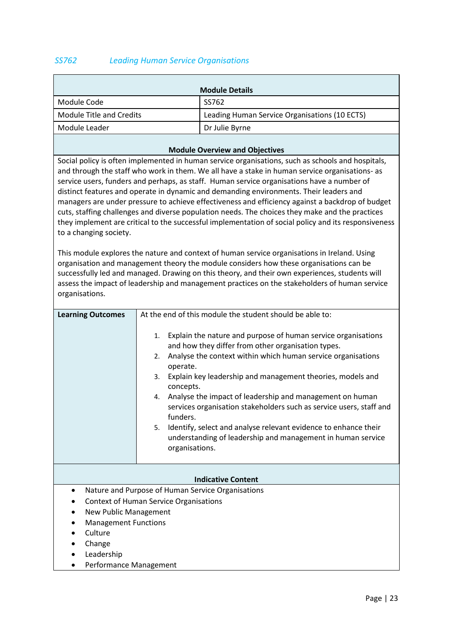## <span id="page-23-0"></span>*SS762 Leading Human Service Organisations*

|                          | <b>Module Details</b>                         |
|--------------------------|-----------------------------------------------|
| Module Code              | SS762                                         |
| Module Title and Credits | Leading Human Service Organisations (10 ECTS) |
| Module Leader            | Dr Julie Byrne                                |
|                          |                                               |

#### **Module Overview and Objectives**

Social policy is often implemented in human service organisations, such as schools and hospitals, and through the staff who work in them. We all have a stake in human service organisations- as service users, funders and perhaps, as staff. Human service organisations have a number of distinct features and operate in dynamic and demanding environments. Their leaders and managers are under pressure to achieve effectiveness and efficiency against a backdrop of budget cuts, staffing challenges and diverse population needs. The choices they make and the practices they implement are critical to the successful implementation of social policy and its responsiveness to a changing society.

This module explores the nature and context of human service organisations in Ireland. Using organisation and management theory the module considers how these organisations can be successfully led and managed. Drawing on this theory, and their own experiences, students will assess the impact of leadership and management practices on the stakeholders of human service organisations.

| <b>Learning Outcomes</b>                      | At the end of this module the student should be able to:                                                                                                                                                                                                                                                                                                                                                                                                                                                                                                                                                    |
|-----------------------------------------------|-------------------------------------------------------------------------------------------------------------------------------------------------------------------------------------------------------------------------------------------------------------------------------------------------------------------------------------------------------------------------------------------------------------------------------------------------------------------------------------------------------------------------------------------------------------------------------------------------------------|
|                                               | Explain the nature and purpose of human service organisations<br>1.<br>and how they differ from other organisation types.<br>Analyse the context within which human service organisations<br>2.<br>operate.<br>Explain key leadership and management theories, models and<br>3.<br>concepts.<br>Analyse the impact of leadership and management on human<br>4.<br>services organisation stakeholders such as service users, staff and<br>funders.<br>Identify, select and analyse relevant evidence to enhance their<br>5.<br>understanding of leadership and management in human service<br>organisations. |
|                                               | <b>Indicative Content</b>                                                                                                                                                                                                                                                                                                                                                                                                                                                                                                                                                                                   |
| $\bullet$                                     | Nature and Purpose of Human Service Organisations                                                                                                                                                                                                                                                                                                                                                                                                                                                                                                                                                           |
| <b>Context of Human Service Organisations</b> |                                                                                                                                                                                                                                                                                                                                                                                                                                                                                                                                                                                                             |
| New Public Management                         |                                                                                                                                                                                                                                                                                                                                                                                                                                                                                                                                                                                                             |
| <b>Management Functions</b><br>٠              |                                                                                                                                                                                                                                                                                                                                                                                                                                                                                                                                                                                                             |
| Culture                                       |                                                                                                                                                                                                                                                                                                                                                                                                                                                                                                                                                                                                             |
| Change                                        |                                                                                                                                                                                                                                                                                                                                                                                                                                                                                                                                                                                                             |
| Leadership<br>$\bullet$                       |                                                                                                                                                                                                                                                                                                                                                                                                                                                                                                                                                                                                             |
| Performance Management                        |                                                                                                                                                                                                                                                                                                                                                                                                                                                                                                                                                                                                             |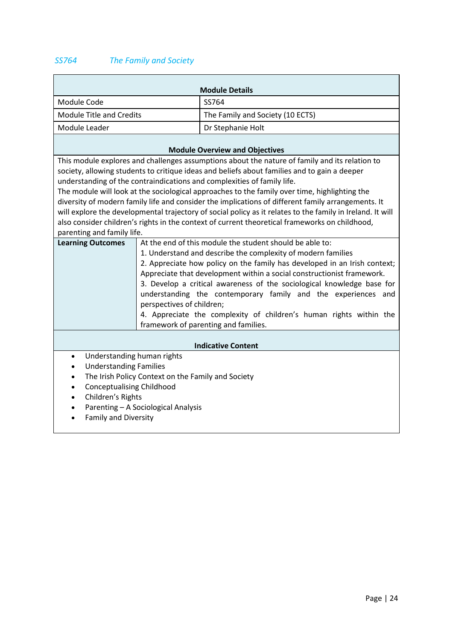# <span id="page-24-0"></span>*SS764 The Family and Society*

 $\blacksquare$ 

|                                                                                                                                                                                                                                                                                                                                                                                                                                                                                                                                                                                                                                                                                                                                | <b>Module Details</b>                                                                                                                                                                                                                                                                                                                                                                                                                                                                                                                    |  |
|--------------------------------------------------------------------------------------------------------------------------------------------------------------------------------------------------------------------------------------------------------------------------------------------------------------------------------------------------------------------------------------------------------------------------------------------------------------------------------------------------------------------------------------------------------------------------------------------------------------------------------------------------------------------------------------------------------------------------------|------------------------------------------------------------------------------------------------------------------------------------------------------------------------------------------------------------------------------------------------------------------------------------------------------------------------------------------------------------------------------------------------------------------------------------------------------------------------------------------------------------------------------------------|--|
| Module Code                                                                                                                                                                                                                                                                                                                                                                                                                                                                                                                                                                                                                                                                                                                    | SS764                                                                                                                                                                                                                                                                                                                                                                                                                                                                                                                                    |  |
| <b>Module Title and Credits</b>                                                                                                                                                                                                                                                                                                                                                                                                                                                                                                                                                                                                                                                                                                | The Family and Society (10 ECTS)                                                                                                                                                                                                                                                                                                                                                                                                                                                                                                         |  |
| Module Leader                                                                                                                                                                                                                                                                                                                                                                                                                                                                                                                                                                                                                                                                                                                  | Dr Stephanie Holt                                                                                                                                                                                                                                                                                                                                                                                                                                                                                                                        |  |
| <b>Module Overview and Objectives</b>                                                                                                                                                                                                                                                                                                                                                                                                                                                                                                                                                                                                                                                                                          |                                                                                                                                                                                                                                                                                                                                                                                                                                                                                                                                          |  |
| This module explores and challenges assumptions about the nature of family and its relation to<br>society, allowing students to critique ideas and beliefs about families and to gain a deeper<br>understanding of the contraindications and complexities of family life.<br>The module will look at the sociological approaches to the family over time, highlighting the<br>diversity of modern family life and consider the implications of different family arrangements. It<br>will explore the developmental trajectory of social policy as it relates to the family in Ireland. It will<br>also consider children's rights in the context of current theoretical frameworks on childhood,<br>parenting and family life. |                                                                                                                                                                                                                                                                                                                                                                                                                                                                                                                                          |  |
| <b>Learning Outcomes</b><br>perspectives of children;                                                                                                                                                                                                                                                                                                                                                                                                                                                                                                                                                                                                                                                                          | At the end of this module the student should be able to:<br>1. Understand and describe the complexity of modern families<br>2. Appreciate how policy on the family has developed in an Irish context;<br>Appreciate that development within a social constructionist framework.<br>3. Develop a critical awareness of the sociological knowledge base for<br>understanding the contemporary family and the experiences and<br>4. Appreciate the complexity of children's human rights within the<br>framework of parenting and families. |  |
| <b>Indicative Content</b>                                                                                                                                                                                                                                                                                                                                                                                                                                                                                                                                                                                                                                                                                                      |                                                                                                                                                                                                                                                                                                                                                                                                                                                                                                                                          |  |
| Understanding human rights<br>$\bullet$<br><b>Understanding Families</b><br>$\bullet$<br>The Irish Policy Context on the Family and Society<br>$\bullet$<br><b>Conceptualising Childhood</b><br>$\bullet$<br>Children's Rights<br>$\bullet$<br>Parenting - A Sociological Analysis<br>$\bullet$<br><b>Family and Diversity</b>                                                                                                                                                                                                                                                                                                                                                                                                 |                                                                                                                                                                                                                                                                                                                                                                                                                                                                                                                                          |  |

 $\overline{\phantom{0}}$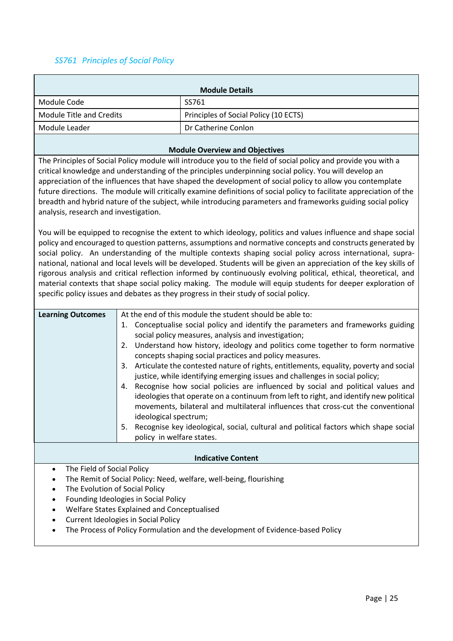# <span id="page-25-0"></span>*SS761 Principles of Social Policy*

| <b>Module Details</b>                                                                                                                                                                                               |                                                                |                                                                                                                                                                                                                                                                                                                                                                                                                                                                                                                                                                                                                                                                                                                                                                                                                                                                                                                                                                                                                                                                                                                                                                                                                                                                                                                                                                              |  |
|---------------------------------------------------------------------------------------------------------------------------------------------------------------------------------------------------------------------|----------------------------------------------------------------|------------------------------------------------------------------------------------------------------------------------------------------------------------------------------------------------------------------------------------------------------------------------------------------------------------------------------------------------------------------------------------------------------------------------------------------------------------------------------------------------------------------------------------------------------------------------------------------------------------------------------------------------------------------------------------------------------------------------------------------------------------------------------------------------------------------------------------------------------------------------------------------------------------------------------------------------------------------------------------------------------------------------------------------------------------------------------------------------------------------------------------------------------------------------------------------------------------------------------------------------------------------------------------------------------------------------------------------------------------------------------|--|
| Module Code                                                                                                                                                                                                         |                                                                | SS761                                                                                                                                                                                                                                                                                                                                                                                                                                                                                                                                                                                                                                                                                                                                                                                                                                                                                                                                                                                                                                                                                                                                                                                                                                                                                                                                                                        |  |
| <b>Module Title and Credits</b>                                                                                                                                                                                     |                                                                | Principles of Social Policy (10 ECTS)                                                                                                                                                                                                                                                                                                                                                                                                                                                                                                                                                                                                                                                                                                                                                                                                                                                                                                                                                                                                                                                                                                                                                                                                                                                                                                                                        |  |
| Module Leader                                                                                                                                                                                                       |                                                                | Dr Catherine Conlon                                                                                                                                                                                                                                                                                                                                                                                                                                                                                                                                                                                                                                                                                                                                                                                                                                                                                                                                                                                                                                                                                                                                                                                                                                                                                                                                                          |  |
|                                                                                                                                                                                                                     |                                                                | <b>Module Overview and Objectives</b>                                                                                                                                                                                                                                                                                                                                                                                                                                                                                                                                                                                                                                                                                                                                                                                                                                                                                                                                                                                                                                                                                                                                                                                                                                                                                                                                        |  |
| analysis, research and investigation.                                                                                                                                                                               |                                                                | The Principles of Social Policy module will introduce you to the field of social policy and provide you with a<br>critical knowledge and understanding of the principles underpinning social policy. You will develop an<br>appreciation of the influences that have shaped the development of social policy to allow you contemplate<br>future directions. The module will critically examine definitions of social policy to facilitate appreciation of the<br>breadth and hybrid nature of the subject, while introducing parameters and frameworks guiding social policy<br>You will be equipped to recognise the extent to which ideology, politics and values influence and shape social<br>policy and encouraged to question patterns, assumptions and normative concepts and constructs generated by<br>social policy. An understanding of the multiple contexts shaping social policy across international, supra-<br>national, national and local levels will be developed. Students will be given an appreciation of the key skills of<br>rigorous analysis and critical reflection informed by continuously evolving political, ethical, theoretical, and<br>material contexts that shape social policy making. The module will equip students for deeper exploration of<br>specific policy issues and debates as they progress in their study of social policy. |  |
| <b>Learning Outcomes</b><br>5.                                                                                                                                                                                      | 2.<br>4.<br>ideological spectrum;<br>policy in welfare states. | At the end of this module the student should be able to:<br>1. Conceptualise social policy and identify the parameters and frameworks guiding<br>social policy measures, analysis and investigation;<br>Understand how history, ideology and politics come together to form normative<br>concepts shaping social practices and policy measures.<br>3. Articulate the contested nature of rights, entitlements, equality, poverty and social<br>justice, while identifying emerging issues and challenges in social policy;<br>Recognise how social policies are influenced by social and political values and<br>ideologies that operate on a continuum from left to right, and identify new political<br>movements, bilateral and multilateral influences that cross-cut the conventional<br>Recognise key ideological, social, cultural and political factors which shape social                                                                                                                                                                                                                                                                                                                                                                                                                                                                                           |  |
|                                                                                                                                                                                                                     |                                                                | <b>Indicative Content</b>                                                                                                                                                                                                                                                                                                                                                                                                                                                                                                                                                                                                                                                                                                                                                                                                                                                                                                                                                                                                                                                                                                                                                                                                                                                                                                                                                    |  |
| The Field of Social Policy<br>The Evolution of Social Policy<br>Founding Ideologies in Social Policy<br>$\bullet$<br>Welfare States Explained and Conceptualised<br><b>Current Ideologies in Social Policy</b><br>٠ |                                                                | The Remit of Social Policy: Need, welfare, well-being, flourishing<br>The Process of Policy Formulation and the development of Evidence-based Policy                                                                                                                                                                                                                                                                                                                                                                                                                                                                                                                                                                                                                                                                                                                                                                                                                                                                                                                                                                                                                                                                                                                                                                                                                         |  |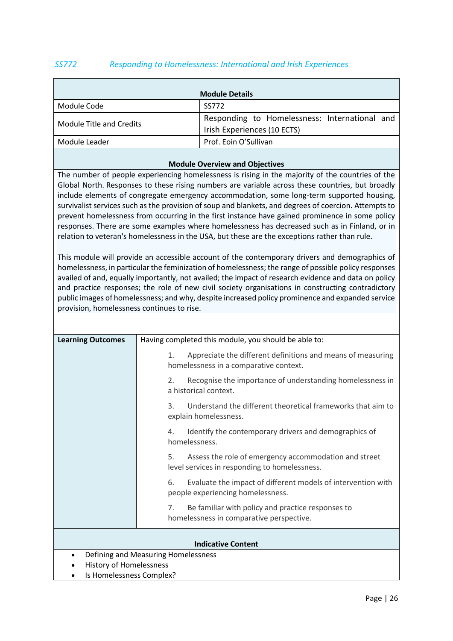## <span id="page-26-0"></span>*SS772 Responding to Homelessness: International and Irish Experiences*

|                          | <b>Module Details</b>                                                        |
|--------------------------|------------------------------------------------------------------------------|
| Module Code              | SS772                                                                        |
| Module Title and Credits | Responding to Homelessness: International and<br>Irish Experiences (10 ECTS) |
| Module Leader            | Prof. Eoin O'Sullivan                                                        |

#### **Module Overview and Objectives**

The number of people experiencing homelessness is rising in the majority of the countries of the Global North. Responses to these rising numbers are variable across these countries, but broadly include elements of congregate emergency accommodation, some long-term supported housing, survivalist services such as the provision of soup and blankets, and degrees of coercion. Attempts to prevent homelessness from occurring in the first instance have gained prominence in some policy responses. There are some examples where homelessness has decreased such as in Finland, or in relation to veteran's homelessness in the USA, but these are the exceptions rather than rule.

This module will provide an accessible account of the contemporary drivers and demographics of homelessness, in particular the feminization of homelessness; the range of possible policy responses availed of and, equally importantly, not availed; the impact of research evidence and data on policy and practice responses; the role of new civil society organisations in constructing contradictory public images of homelessness; and why, despite increased policy prominence and expanded service provision, homelessness continues to rise.

| <b>Learning Outcomes</b> | Having completed this module, you should be able to:                                                         |
|--------------------------|--------------------------------------------------------------------------------------------------------------|
|                          | Appreciate the different definitions and means of measuring<br>1.<br>homelessness in a comparative context.  |
|                          | Recognise the importance of understanding homelessness in<br>2.<br>a historical context.                     |
|                          | Understand the different theoretical frameworks that aim to<br>3.<br>explain homelessness.                   |
|                          | Identify the contemporary drivers and demographics of<br>4.<br>homelessness.                                 |
|                          | Assess the role of emergency accommodation and street<br>5.<br>level services in responding to homelessness. |
|                          | Evaluate the impact of different models of intervention with<br>6.<br>people experiencing homelessness.      |
|                          | Be familiar with policy and practice responses to<br>7.<br>homelessness in comparative perspective.          |
|                          | <b>Indicative Content</b>                                                                                    |
|                          | Defining and Measuring Homelessness                                                                          |
| History of Homplessness  |                                                                                                              |

- History of Homelessness
- Is Homelessness Complex?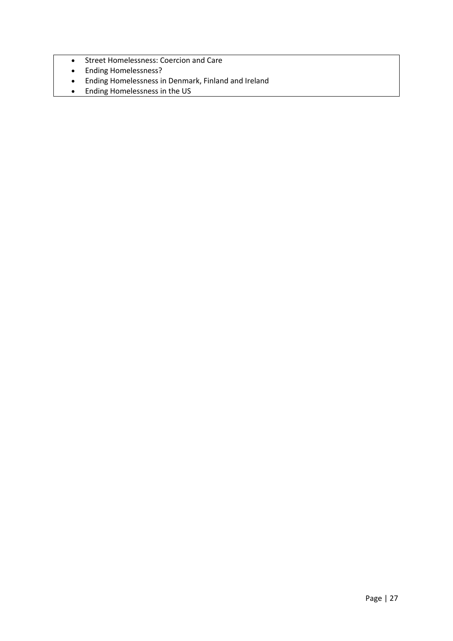- Street Homelessness: Coercion and Care
- Ending Homelessness?
- Ending Homelessness in Denmark, Finland and Ireland
- Ending Homelessness in the US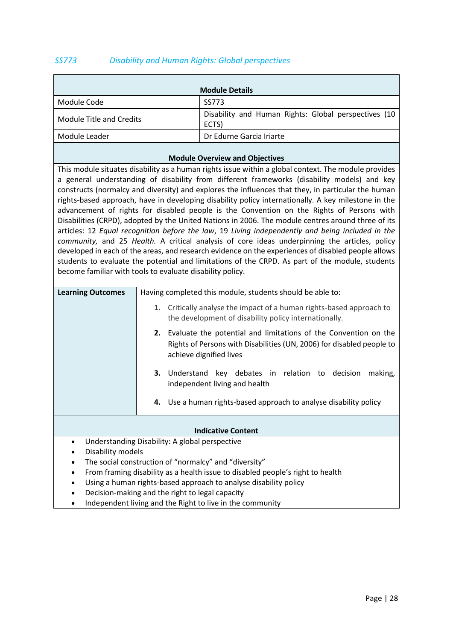## <span id="page-28-0"></span>*SS773 Disability and Human Rights: Global perspectives*

|                          | <b>Module Details</b>                                         |
|--------------------------|---------------------------------------------------------------|
| Module Code              | SS773                                                         |
| Module Title and Credits | Disability and Human Rights: Global perspectives (10<br>ECTS) |
| Module Leader            | Dr Edurne Garcia Iriarte                                      |

#### **Module Overview and Objectives**

This module situates disability as a human rights issue within a global context. The module provides a general understanding of disability from different frameworks (disability models) and key constructs (normalcy and diversity) and explores the influences that they, in particular the human rights-based approach, have in developing disability policy internationally. A key milestone in the advancement of rights for disabled people is the Convention on the Rights of Persons with Disabilities (CRPD), adopted by the United Nations in 2006. The module centres around three of its articles: 12 *Equal recognition before the law*, 19 *Living independently and being included in the community,* and 25 *Health.* A critical analysis of core ideas underpinning the articles, policy developed in each of the areas, and research evidence on the experiences of disabled people allows students to evaluate the potential and limitations of the CRPD. As part of the module, students become familiar with tools to evaluate disability policy.

| <b>Learning Outcomes</b>                                                                    | Having completed this module, students should be able to:                                                                                                                 |  |
|---------------------------------------------------------------------------------------------|---------------------------------------------------------------------------------------------------------------------------------------------------------------------------|--|
|                                                                                             | 1. Critically analyse the impact of a human rights-based approach to<br>the development of disability policy internationally.                                             |  |
|                                                                                             | Evaluate the potential and limitations of the Convention on the<br>2.<br>Rights of Persons with Disabilities (UN, 2006) for disabled people to<br>achieve dignified lives |  |
|                                                                                             | Understand key debates in relation to decision<br>3.<br>making,<br>independent living and health                                                                          |  |
|                                                                                             | 4. Use a human rights-based approach to analyse disability policy                                                                                                         |  |
|                                                                                             |                                                                                                                                                                           |  |
|                                                                                             | <b>Indicative Content</b>                                                                                                                                                 |  |
| $\bullet$                                                                                   | Understanding Disability: A global perspective                                                                                                                            |  |
| Disability models<br>$\bullet$                                                              |                                                                                                                                                                           |  |
| The social construction of "normalcy" and "diversity"<br>$\bullet$                          |                                                                                                                                                                           |  |
| From framing disability as a health issue to disabled people's right to health<br>$\bullet$ |                                                                                                                                                                           |  |
|                                                                                             | Using a human rights-based approach to analyse disability policy                                                                                                          |  |

- Decision-making and the right to legal capacity
- Independent living and the Right to live in the community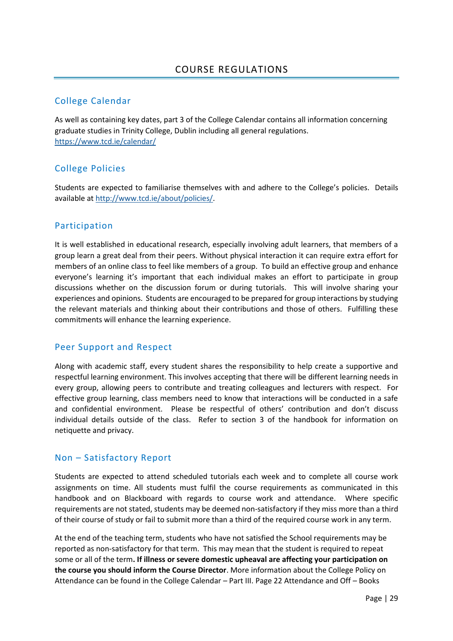# <span id="page-29-1"></span><span id="page-29-0"></span>College Calendar

As well as containing key dates, part 3 of the College Calendar contains all information concerning graduate studies in Trinity College, Dublin including all general regulations. <https://www.tcd.ie/calendar/>

# <span id="page-29-2"></span>College Policies

Students are expected to familiarise themselves with and adhere to the College's policies. Details available a[t http://www.tcd.ie/about/policies/.](http://www.tcd.ie/about/policies/)

## <span id="page-29-3"></span>Participation

It is well established in educational research, especially involving adult learners, that members of a group learn a great deal from their peers. Without physical interaction it can require extra effort for members of an online class to feel like members of a group. To build an effective group and enhance everyone's learning it's important that each individual makes an effort to participate in group discussions whether on the discussion forum or during tutorials. This will involve sharing your experiences and opinions. Students are encouraged to be prepared for group interactions by studying the relevant materials and thinking about their contributions and those of others. Fulfilling these commitments will enhance the learning experience.

## <span id="page-29-4"></span>Peer Support and Respect

Along with academic staff, every student shares the responsibility to help create a supportive and respectful learning environment. This involves accepting that there will be different learning needs in every group, allowing peers to contribute and treating colleagues and lecturers with respect. For effective group learning, class members need to know that interactions will be conducted in a safe and confidential environment. Please be respectful of others' contribution and don't discuss individual details outside of the class. Refer to section 3 of the handbook for information on netiquette and privacy.

## <span id="page-29-5"></span>Non – Satisfactory Report

Students are expected to attend scheduled tutorials each week and to complete all course work assignments on time. All students must fulfil the course requirements as communicated in this handbook and on Blackboard with regards to course work and attendance. Where specific requirements are not stated, students may be deemed non-satisfactory if they miss more than a third of their course of study or fail to submit more than a third of the required course work in any term.

At the end of the teaching term, students who have not satisfied the School requirements may be reported as non-satisfactory for that term. This may mean that the student is required to repeat some or all of the term**. If illness or severe domestic upheaval are affecting your participation on the course you should inform the Course Director**. More information about the College Policy on Attendance can be found in the College Calendar – Part III. Page 22 Attendance and Off – Books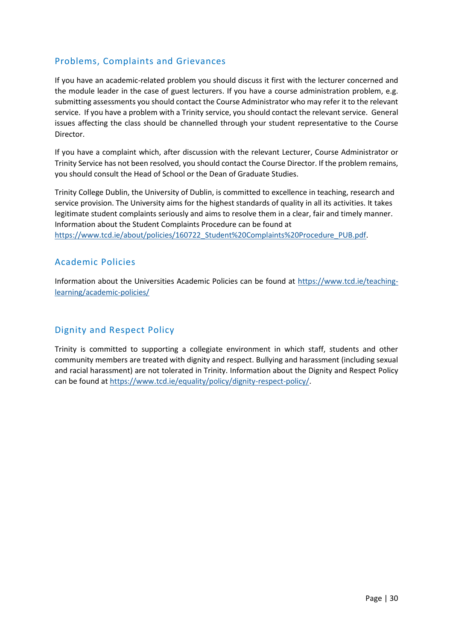# Problems, Complaints and Grievances

If you have an academic-related problem you should discuss it first with the lecturer concerned and the module leader in the case of guest lecturers. If you have a course administration problem, e.g. submitting assessments you should contact the Course Administrator who may refer it to the relevant service. If you have a problem with a Trinity service, you should contact the relevant service. General issues affecting the class should be channelled through your student representative to the Course Director.

If you have a complaint which, after discussion with the relevant Lecturer, Course Administrator or Trinity Service has not been resolved, you should contact the Course Director. If the problem remains, you should consult the Head of School or the Dean of Graduate Studies.

Trinity College Dublin, the University of Dublin, is committed to excellence in teaching, research and service provision. The University aims for the highest standards of quality in all its activities. It takes legitimate student complaints seriously and aims to resolve them in a clear, fair and timely manner. Information about the Student Complaints Procedure can be found at

[https://www.tcd.ie/about/policies/160722\\_Student%20Complaints%20Procedure\\_PUB.pdf.](https://www.tcd.ie/about/policies/160722_Student%20Complaints%20Procedure_PUB.pdf)

# <span id="page-30-0"></span>Academic Policies

Information about the Universities Academic Policies can be found at [https://www.tcd.ie/teaching](https://www.tcd.ie/teaching-learning/academic-policies/)[learning/academic-policies/](https://www.tcd.ie/teaching-learning/academic-policies/)

# Dignity and Respect Policy

Trinity is committed to supporting a collegiate environment in which staff, students and other community members are treated with dignity and respect. Bullying and harassment (including sexual and racial harassment) are not tolerated in Trinity. Information about the Dignity and Respect Policy can be found at [https://www.tcd.ie/equality/policy/dignity-respect-policy/.](https://www.tcd.ie/equality/policy/dignity-respect-policy/)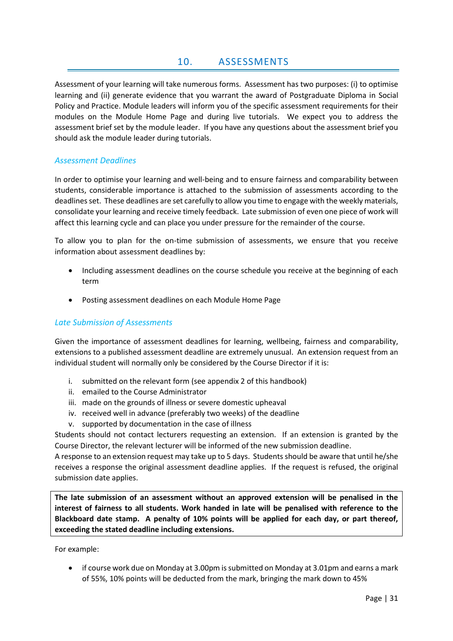## 10. ASSESSMENTS

<span id="page-31-0"></span>Assessment of your learning will take numerous forms. Assessment has two purposes: (i) to optimise learning and (ii) generate evidence that you warrant the award of Postgraduate Diploma in Social Policy and Practice. Module leaders will inform you of the specific assessment requirements for their modules on the Module Home Page and during live tutorials. We expect you to address the assessment brief set by the module leader. If you have any questions about the assessment brief you should ask the module leader during tutorials.

#### <span id="page-31-1"></span>*Assessment Deadlines*

In order to optimise your learning and well-being and to ensure fairness and comparability between students, considerable importance is attached to the submission of assessments according to the deadlinesset. These deadlines are set carefully to allow you time to engage with the weekly materials, consolidate your learning and receive timely feedback. Late submission of even one piece of work will affect this learning cycle and can place you under pressure for the remainder of the course.

To allow you to plan for the on-time submission of assessments, we ensure that you receive information about assessment deadlines by:

- Including assessment deadlines on the course schedule you receive at the beginning of each term
- Posting assessment deadlines on each Module Home Page

## <span id="page-31-2"></span>*Late Submission of Assessments*

Given the importance of assessment deadlines for learning, wellbeing, fairness and comparability, extensions to a published assessment deadline are extremely unusual. An extension request from an individual student will normally only be considered by the Course Director if it is:

- i. submitted on the relevant form (see appendix 2 of this handbook)
- ii. emailed to the Course Administrator
- iii. made on the grounds of illness or severe domestic upheaval
- iv. received well in advance (preferably two weeks) of the deadline
- v. supported by documentation in the case of illness

Students should not contact lecturers requesting an extension. If an extension is granted by the Course Director, the relevant lecturer will be informed of the new submission deadline.

A response to an extension request may take up to 5 days. Students should be aware that until he/she receives a response the original assessment deadline applies. If the request is refused, the original submission date applies.

**The late submission of an assessment without an approved extension will be penalised in the interest of fairness to all students. Work handed in late will be penalised with reference to the Blackboard date stamp. A penalty of 10% points will be applied for each day, or part thereof, exceeding the stated deadline including extensions.** 

For example:

• if course work due on Monday at 3.00pm is submitted on Monday at 3.01pm and earns a mark of 55%, 10% points will be deducted from the mark, bringing the mark down to 45%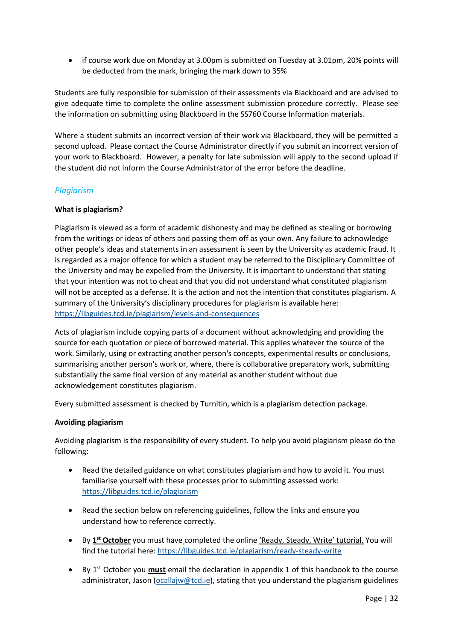• if course work due on Monday at 3.00pm is submitted on Tuesday at 3.01pm, 20% points will be deducted from the mark, bringing the mark down to 35%

Students are fully responsible for submission of their assessments via Blackboard and are advised to give adequate time to complete the online assessment submission procedure correctly. Please see the information on submitting using Blackboard in the SS760 Course Information materials.

Where a student submits an incorrect version of their work via Blackboard, they will be permitted a second upload. Please contact the Course Administrator directly if you submit an incorrect version of your work to Blackboard. However, a penalty for late submission will apply to the second upload if the student did not inform the Course Administrator of the error before the deadline.

## <span id="page-32-0"></span>*Plagiarism*

#### **What is plagiarism?**

Plagiarism is viewed as a form of academic dishonesty and may be defined as stealing or borrowing from the writings or ideas of others and passing them off as your own. Any failure to acknowledge other people's ideas and statements in an assessment is seen by the University as academic fraud. It is regarded as a major offence for which a student may be referred to the Disciplinary Committee of the University and may be expelled from the University. It is important to understand that stating that your intention was not to cheat and that you did not understand what constituted plagiarism will not be accepted as a defense. It is the action and not the intention that constitutes plagiarism. A summary of the University's disciplinary procedures for plagiarism is available here: <https://libguides.tcd.ie/plagiarism/levels-and-consequences>

Acts of plagiarism include copying parts of a document without acknowledging and providing the source for each quotation or piece of borrowed material. This applies whatever the source of the work. Similarly, using or extracting another person's concepts, experimental results or conclusions, summarising another person's work or, where, there is collaborative preparatory work, submitting substantially the same final version of any material as another student without due acknowledgement constitutes plagiarism.

Every submitted assessment is checked by Turnitin, which is a plagiarism detection package.

#### **Avoiding plagiarism**

Avoiding plagiarism is the responsibility of every student. To help you avoid plagiarism please do the following:

- Read the detailed guidance on what constitutes plagiarism and how to avoid it. You must familiarise yourself with these processes prior to submitting assessed work: <https://libguides.tcd.ie/plagiarism>
- Read the section below on referencing guidelines, follow the links and ensure you understand how to reference correctly.
- By 1<sup>st</sup> October you must have completed the online 'Ready, Steady, Write' tutorial. You will find the tutorial here:<https://libguides.tcd.ie/plagiarism/ready-steady-write>
- By 1st October you **must** email the declaration in appendix 1 of this handbook to the course administrator, Jason [\(ocallajw@tcd.ie\)](mailto:ocallajw@tcd.ie), stating that you understand the plagiarism guidelines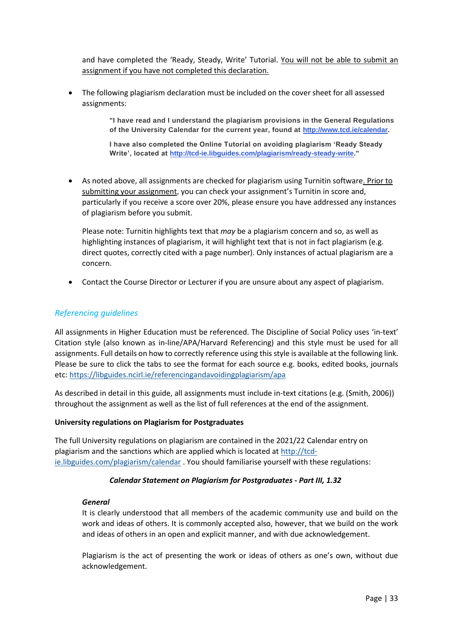and have completed the 'Ready, Steady, Write' Tutorial. You will not be able to submit an assignment if you have not completed this declaration.

• The following plagiarism declaration must be included on the cover sheet for all assessed assignments:

> **"I have read and I understand the plagiarism provisions in the General Regulations of the University Calendar for the current year, found at [http://www.tcd.ie/calendar.](http://www.tcd.ie/calendar/)**

**I have also completed the Online Tutorial on avoiding plagiarism 'Ready Steady Write', located at [http://tcd-ie.libguides.com/plagiarism/ready-steady-write.](http://tcd-ie.libguides.com/plagiarism/ready-steady-write)"**

• As noted above, all assignments are checked for plagiarism using Turnitin software. Prior to submitting your assignment, you can check your assignment's Turnitin in score and, particularly if you receive a score over 20%, please ensure you have addressed any instances of plagiarism before you submit.

Please note: Turnitin highlights text that *may* be a plagiarism concern and so, as well as highlighting instances of plagiarism, it will highlight text that is not in fact plagiarism (e.g. direct quotes, correctly cited with a page number). Only instances of actual plagiarism are a concern.

• Contact the Course Director or Lecturer if you are unsure about any aspect of plagiarism.

## <span id="page-33-0"></span>*Referencing guidelines*

All assignments in Higher Education must be referenced. The Discipline of Social Policy uses 'in-text' Citation style (also known as in-line/APA/Harvard Referencing) and this style must be used for all assignments. Full details on how to correctly reference using this style is available at the following link. Please be sure to click the tabs to see the format for each source e.g. books, edited books, journals etc:<https://libguides.ncirl.ie/referencingandavoidingplagiarism/apa>

As described in detail in this guide, all assignments must include in-text citations (e.g. (Smith, 2006)) throughout the assignment as well as the list of full references at the end of the assignment.

#### **University regulations on Plagiarism for Postgraduates**

The full University regulations on plagiarism are contained in the 2021/22 Calendar entry on plagiarism and the sanctions which are applied which is located at [http://tcd](http://tcd-ie.libguides.com/plagiarism/calendar)[ie.libguides.com/plagiarism/calendar](http://tcd-ie.libguides.com/plagiarism/calendar) . You should familiarise yourself with these regulations:

#### *Calendar Statement on Plagiarism for Postgraduates - Part III, 1.32*

#### *General*

It is clearly understood that all members of the academic community use and build on the work and ideas of others. It is commonly accepted also, however, that we build on the work and ideas of others in an open and explicit manner, and with due acknowledgement.

Plagiarism is the act of presenting the work or ideas of others as one's own, without due acknowledgement.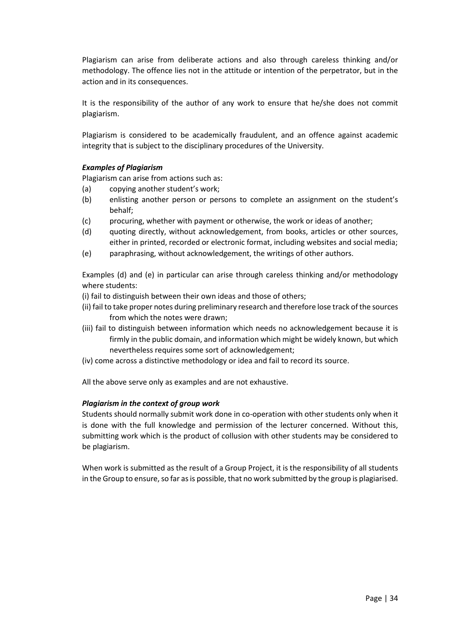Plagiarism can arise from deliberate actions and also through careless thinking and/or methodology. The offence lies not in the attitude or intention of the perpetrator, but in the action and in its consequences.

It is the responsibility of the author of any work to ensure that he/she does not commit plagiarism.

Plagiarism is considered to be academically fraudulent, and an offence against academic integrity that is subject to the disciplinary procedures of the University.

#### *Examples of Plagiarism*

Plagiarism can arise from actions such as:

- (a) copying another student's work;
- (b) enlisting another person or persons to complete an assignment on the student's behalf;
- (c) procuring, whether with payment or otherwise, the work or ideas of another;
- (d) quoting directly, without acknowledgement, from books, articles or other sources, either in printed, recorded or electronic format, including websites and social media;
- (e) paraphrasing, without acknowledgement, the writings of other authors.

Examples (d) and (e) in particular can arise through careless thinking and/or methodology where students:

- (i) fail to distinguish between their own ideas and those of others;
- (ii) fail to take proper notes during preliminary research and therefore lose track of the sources from which the notes were drawn;
- (iii) fail to distinguish between information which needs no acknowledgement because it is firmly in the public domain, and information which might be widely known, but which nevertheless requires some sort of acknowledgement;
- (iv) come across a distinctive methodology or idea and fail to record its source.

All the above serve only as examples and are not exhaustive.

#### *Plagiarism in the context of group work*

Students should normally submit work done in co-operation with other students only when it is done with the full knowledge and permission of the lecturer concerned. Without this, submitting work which is the product of collusion with other students may be considered to be plagiarism.

When work is submitted as the result of a Group Project, it is the responsibility of all students in the Group to ensure, so far as is possible, that no work submitted by the group is plagiarised.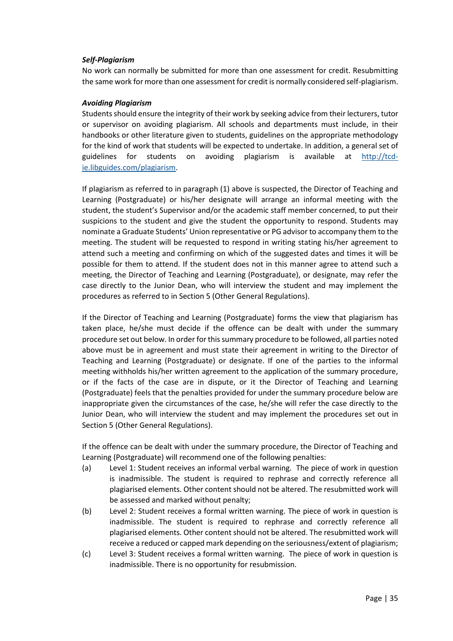#### *Self-Plagiarism*

No work can normally be submitted for more than one assessment for credit. Resubmitting the same work for more than one assessment for credit is normally considered self-plagiarism.

#### *Avoiding Plagiarism*

Students should ensure the integrity of their work by seeking advice from their lecturers, tutor or supervisor on avoiding plagiarism. All schools and departments must include, in their handbooks or other literature given to students, guidelines on the appropriate methodology for the kind of work that students will be expected to undertake. In addition, a general set of guidelines for students on avoiding plagiarism is available at [http://tcd](http://tcd-ie.libguides.com/plagiarism)[ie.libguides.com/plagiarism.](http://tcd-ie.libguides.com/plagiarism)

If plagiarism as referred to in paragraph (1) above is suspected, the Director of Teaching and Learning (Postgraduate) or his/her designate will arrange an informal meeting with the student, the student's Supervisor and/or the academic staff member concerned, to put their suspicions to the student and give the student the opportunity to respond. Students may nominate a Graduate Students' Union representative or PG advisor to accompany them to the meeting. The student will be requested to respond in writing stating his/her agreement to attend such a meeting and confirming on which of the suggested dates and times it will be possible for them to attend. If the student does not in this manner agree to attend such a meeting, the Director of Teaching and Learning (Postgraduate), or designate, may refer the case directly to the Junior Dean, who will interview the student and may implement the procedures as referred to in Section 5 (Other General Regulations).

If the Director of Teaching and Learning (Postgraduate) forms the view that plagiarism has taken place, he/she must decide if the offence can be dealt with under the summary procedure set out below. In order for this summary procedure to be followed, all parties noted above must be in agreement and must state their agreement in writing to the Director of Teaching and Learning (Postgraduate) or designate. If one of the parties to the informal meeting withholds his/her written agreement to the application of the summary procedure, or if the facts of the case are in dispute, or it the Director of Teaching and Learning (Postgraduate) feels that the penalties provided for under the summary procedure below are inappropriate given the circumstances of the case, he/she will refer the case directly to the Junior Dean, who will interview the student and may implement the procedures set out in Section 5 (Other General Regulations).

If the offence can be dealt with under the summary procedure, the Director of Teaching and Learning (Postgraduate) will recommend one of the following penalties:

- (a) Level 1: Student receives an informal verbal warning. The piece of work in question is inadmissible. The student is required to rephrase and correctly reference all plagiarised elements. Other content should not be altered. The resubmitted work will be assessed and marked without penalty;
- (b) Level 2: Student receives a formal written warning. The piece of work in question is inadmissible. The student is required to rephrase and correctly reference all plagiarised elements. Other content should not be altered. The resubmitted work will receive a reduced or capped mark depending on the seriousness/extent of plagiarism;
- (c) Level 3: Student receives a formal written warning. The piece of work in question is inadmissible. There is no opportunity for resubmission.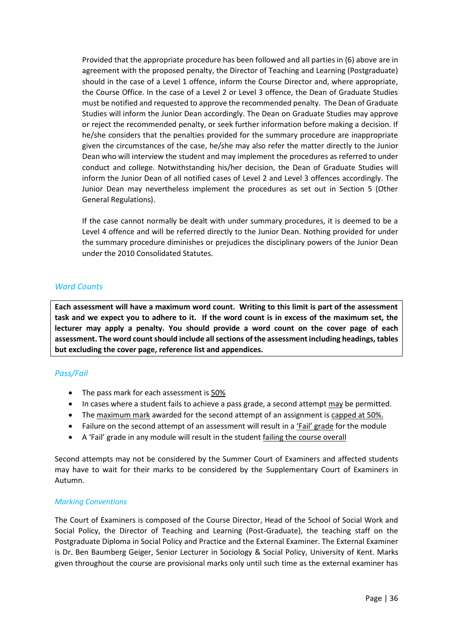Provided that the appropriate procedure has been followed and all parties in (6) above are in agreement with the proposed penalty, the Director of Teaching and Learning (Postgraduate) should in the case of a Level 1 offence, inform the Course Director and, where appropriate, the Course Office. In the case of a Level 2 or Level 3 offence, the Dean of Graduate Studies must be notified and requested to approve the recommended penalty. The Dean of Graduate Studies will inform the Junior Dean accordingly. The Dean on Graduate Studies may approve or reject the recommended penalty, or seek further information before making a decision. If he/she considers that the penalties provided for the summary procedure are inappropriate given the circumstances of the case, he/she may also refer the matter directly to the Junior Dean who will interview the student and may implement the procedures as referred to under conduct and college. Notwithstanding his/her decision, the Dean of Graduate Studies will inform the Junior Dean of all notified cases of Level 2 and Level 3 offences accordingly. The Junior Dean may nevertheless implement the procedures as set out in Section 5 (Other General Regulations).

If the case cannot normally be dealt with under summary procedures, it is deemed to be a Level 4 offence and will be referred directly to the Junior Dean. Nothing provided for under the summary procedure diminishes or prejudices the disciplinary powers of the Junior Dean under the 2010 Consolidated Statutes.

## <span id="page-36-0"></span>*Word Counts*

**Each assessment will have a maximum word count. Writing to this limit is part of the assessment task and we expect you to adhere to it. If the word count is in excess of the maximum set, the lecturer may apply a penalty. You should provide a word count on the cover page of each assessment. The word countshould include all sections of the assessment including headings, tables but excluding the cover page, reference list and appendices.** 

## <span id="page-36-1"></span>*Pass/Fail*

- The pass mark for each assessment is 50%
- In cases where a student fails to achieve a pass grade, a second attempt may be permitted.
- The maximum mark awarded for the second attempt of an assignment is capped at 50%.
- Failure on the second attempt of an assessment will result in a 'Fail' grade for the module
- A 'Fail' grade in any module will result in the student failing the course overall

Second attempts may not be considered by the Summer Court of Examiners and affected students may have to wait for their marks to be considered by the Supplementary Court of Examiners in Autumn.

#### *Marking Conventions*

The Court of Examiners is composed of the Course Director, Head of the School of Social Work and Social Policy, the Director of Teaching and Learning (Post-Graduate), the teaching staff on the Postgraduate Diploma in Social Policy and Practice and the External Examiner. The External Examiner is Dr. Ben Baumberg Geiger, Senior Lecturer in Sociology & Social Policy, University of Kent. Marks given throughout the course are provisional marks only until such time as the external examiner has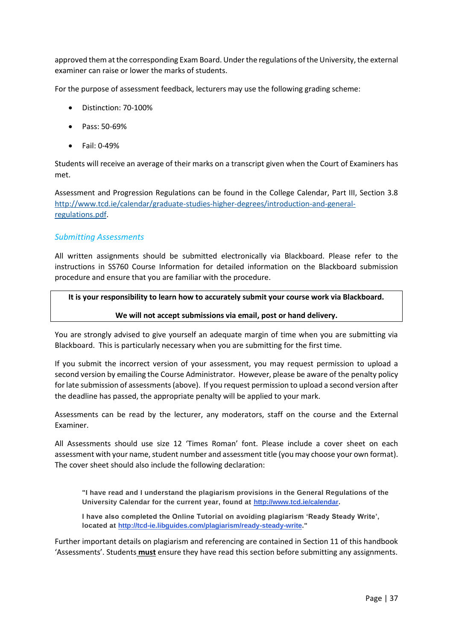approved them at the corresponding Exam Board. Under the regulations of the University, the external examiner can raise or lower the marks of students.

For the purpose of assessment feedback, lecturers may use the following grading scheme:

- Distinction: 70-100%
- Pass: 50-69%
- Fail: 0-49%

Students will receive an average of their marks on a transcript given when the Court of Examiners has met.

Assessment and Progression Regulations can be found in the College Calendar, Part III, Section 3.8 [http://www.tcd.ie/calendar/graduate-studies-higher-degrees/introduction-and-general](http://www.tcd.ie/calendar/graduate-studies-higher-degrees/introduction-and-general-regulations.pdf)[regulations.pdf.](http://www.tcd.ie/calendar/graduate-studies-higher-degrees/introduction-and-general-regulations.pdf)

## <span id="page-37-0"></span>*Submitting Assessments*

All written assignments should be submitted electronically via Blackboard. Please refer to the instructions in SS760 Course Information for detailed information on the Blackboard submission procedure and ensure that you are familiar with the procedure.

#### **It is your responsibility to learn how to accurately submit your course work via Blackboard.**

#### **We will not accept submissions via email, post or hand delivery.**

You are strongly advised to give yourself an adequate margin of time when you are submitting via Blackboard. This is particularly necessary when you are submitting for the first time.

If you submit the incorrect version of your assessment, you may request permission to upload a second version by emailing the Course Administrator. However, please be aware of the penalty policy for late submission of assessments (above). If you request permission to upload a second version after the deadline has passed, the appropriate penalty will be applied to your mark.

Assessments can be read by the lecturer, any moderators, staff on the course and the External Examiner.

All Assessments should use size 12 'Times Roman' font. Please include a cover sheet on each assessment with your name, student number and assessment title (you may choose your own format). The cover sheet should also include the following declaration:

**"I have read and I understand the plagiarism provisions in the General Regulations of the University Calendar for the current year, found at [http://www.tcd.ie/calendar.](http://www.tcd.ie/calendar/)**

**I have also completed the Online Tutorial on avoiding plagiarism 'Ready Steady Write', located at [http://tcd-ie.libguides.com/plagiarism/ready-steady-write.](http://tcd-ie.libguides.com/plagiarism/ready-steady-write)"**

Further important details on plagiarism and referencing are contained in Section 11 of this handbook 'Assessments'. Students **must** ensure they have read this section before submitting any assignments.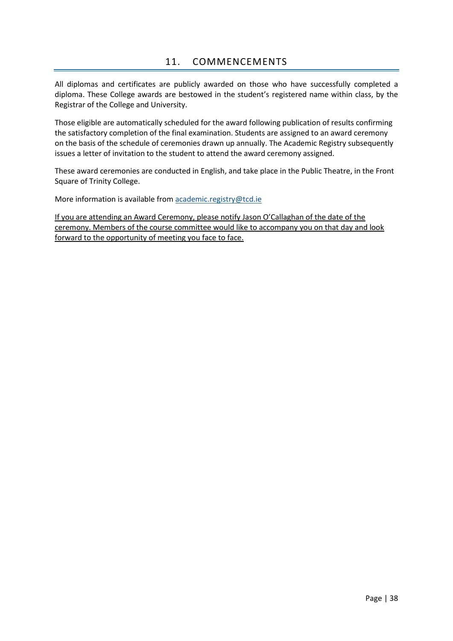<span id="page-38-0"></span>All diplomas and certificates are publicly awarded on those who have successfully completed a diploma. These College awards are bestowed in the student's registered name within class, by the Registrar of the College and University.

Those eligible are automatically scheduled for the award following publication of results confirming the satisfactory completion of the final examination. Students are assigned to an award ceremony on the basis of the schedule of ceremonies drawn up annually. The Academic Registry subsequently issues a letter of invitation to the student to attend the award ceremony assigned.

These award ceremonies are conducted in English, and take place in the Public Theatre, in the Front Square of Trinity College.

More information is available from [academic.registry@tcd.ie](mailto:academic.registry@tcd.ie)

If you are attending an Award Ceremony, please notify Jason O'Callaghan of the date of the ceremony. Members of the course committee would like to accompany you on that day and look forward to the opportunity of meeting you face to face.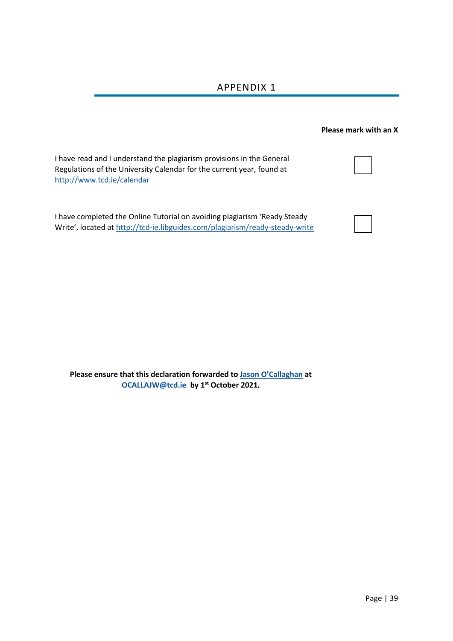# APPENDIX 1

<span id="page-39-0"></span>

|                                                                                                                                                                              | <b>Please mark with an X</b> |
|------------------------------------------------------------------------------------------------------------------------------------------------------------------------------|------------------------------|
| I have read and I understand the plagiarism provisions in the General<br>Regulations of the University Calendar for the current year, found at<br>http://www.tcd.ie/calendar |                              |
| I have completed the Online Tutorial on avoiding plagiarism 'Ready Steady<br>Write', located at http://tcd-ie.libguides.com/plagiarism/ready-steady-write                    |                              |

**Please ensure that this declaration forwarded to [Jason O'Callaghan](mailto:OCALLAJW@tcd.ie) at [OCALLAJW@tcd.ie](mailto:OCALLAJW@tcd.ie) by 1 st October 2021.**